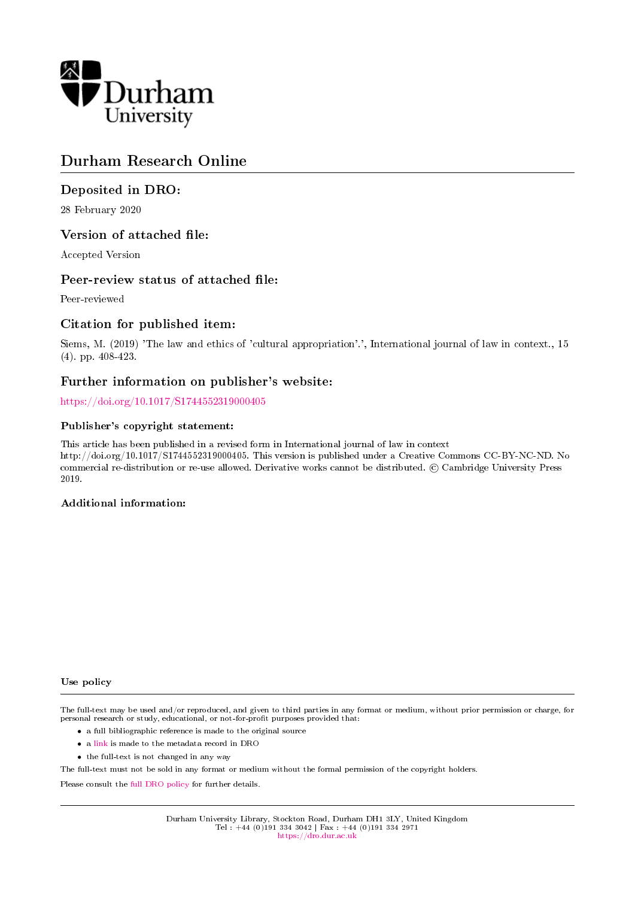

# Durham Research Online

## Deposited in DRO:

28 February 2020

### Version of attached file:

Accepted Version

### Peer-review status of attached file:

Peer-reviewed

### Citation for published item:

Siems, M. (2019) 'The law and ethics of 'cultural appropriation'.', International journal of law in context., 15 (4). pp. 408-423.

### Further information on publisher's website:

<https://doi.org/10.1017/S1744552319000405>

#### Publisher's copyright statement:

This article has been published in a revised form in International journal of law in context http://doi.org/10.1017/S1744552319000405. This version is published under a Creative Commons CC-BY-NC-ND. No commercial re-distribution or re-use allowed. Derivative works cannot be distributed. © Cambridge University Press 2019.

#### Additional information:

#### Use policy

The full-text may be used and/or reproduced, and given to third parties in any format or medium, without prior permission or charge, for personal research or study, educational, or not-for-profit purposes provided that:

- a full bibliographic reference is made to the original source
- a [link](http://dro.dur.ac.uk/30309/) is made to the metadata record in DRO
- the full-text is not changed in any way

The full-text must not be sold in any format or medium without the formal permission of the copyright holders.

Please consult the [full DRO policy](https://dro.dur.ac.uk/policies/usepolicy.pdf) for further details.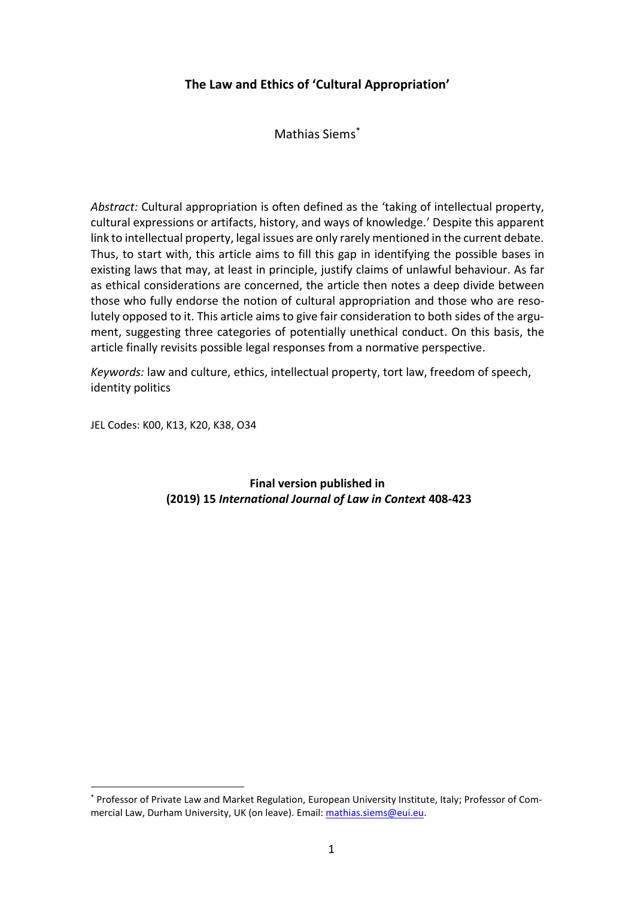## **The Law and Ethics of 'Cultural Appropriation'**

Mathias Siems\*

*Abstract:* Cultural appropriation is often defined as the 'taking of intellectual property, cultural expressions or artifacts, history, and ways of knowledge.' Despite this apparent link to intellectual property, legal issues are only rarely mentioned in the current debate. Thus, to start with, this article aims to fill this gap in identifying the possible bases in existing laws that may, at least in principle, justify claims of unlawful behaviour. As far as ethical considerations are concerned, the article then notes a deep divide between those who fully endorse the notion of cultural appropriation and those who are resolutely opposed to it. This article aims to give fair consideration to both sides of the argument, suggesting three categories of potentially unethical conduct. On this basis, the article finally revisits possible legal responses from a normative perspective.

*Keywords:* law and culture, ethics, intellectual property, tort law, freedom of speech, identity politics

JEL Codes: K00, K13, K20, K38, O34

**.** 

**Final version published in (2019) 15** *International Journal of Law in Context* **408-423**

<sup>\*</sup> Professor of Private Law and Market Regulation, European University Institute, Italy; Professor of Commercial Law, Durham University, UK (on leave). Email: [mathias.siems@eui.eu.](mailto:mathias.siems@eui.eu)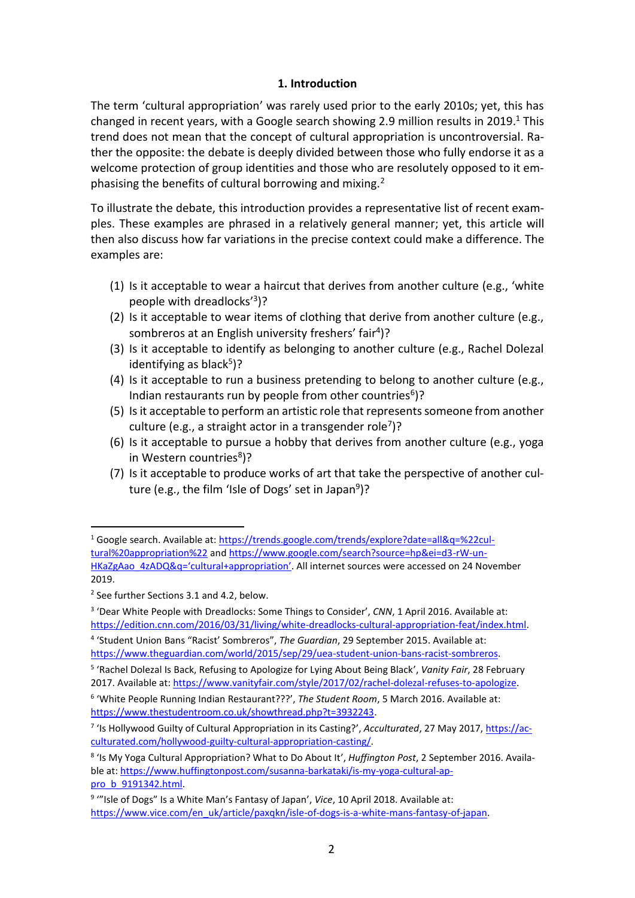### **1. Introduction**

The term 'cultural appropriation' was rarely used prior to the early 2010s; yet, this has changed in recent years, with a Google search showing 2.9 million results in 2019.<sup>1</sup> This trend does not mean that the concept of cultural appropriation is uncontroversial. Rather the opposite: the debate is deeply divided between those who fully endorse it as a welcome protection of group identities and those who are resolutely opposed to it emphasising the benefits of cultural borrowing and mixing.<sup>2</sup>

To illustrate the debate, this introduction provides a representative list of recent examples. These examples are phrased in a relatively general manner; yet, this article will then also discuss how far variations in the precise context could make a difference. The examples are:

- (1) Is it acceptable to wear a haircut that derives from another culture (e.g., 'white people with dreadlocks' 3 )?
- (2) Is it acceptable to wear items of clothing that derive from another culture (e.g., sombreros at an English university freshers' fair<sup>4</sup>)?
- (3) Is it acceptable to identify as belonging to another culture (e.g., Rachel Dolezal identifying as black<sup>5</sup>)?
- (4) Is it acceptable to run a business pretending to belong to another culture (e.g., Indian restaurants run by people from other countries<sup>6</sup>)?
- (5) Is it acceptable to perform an artistic role that represents someone from another culture (e.g., a straight actor in a transgender role<sup>7</sup>)?
- (6) Is it acceptable to pursue a hobby that derives from another culture (e.g., yoga in Western countries<sup>8</sup>)?
- (7) Is it acceptable to produce works of art that take the perspective of another culture (e.g., the film 'Isle of Dogs' set in Japan<sup>9</sup>)?

<sup>1</sup> Google search. Available at: [https://trends.google.com/trends/explore?date=all&q=%22cul](https://trends.google.com/trends/explore?date=all&q=%22cultural%20appropriation%22)[tural%20appropriation%22](https://trends.google.com/trends/explore?date=all&q=%22cultural%20appropriation%22) an[d https://www.google.com/search?source=hp&ei=d3-rW-un](https://www.google.com/search?source=hp&ei=d3-rW-unHKaZgAao_4zADQ&q=)HKaZgAao\_4zADQ&q='[cultural+appropriation](https://www.google.com/search?source=hp&ei=d3-rW-unHKaZgAao_4zADQ&q=)'. All internet sources were accessed on 24 November 2019.

<sup>2</sup> See further Sections 3.1 and 4.2, below.

<sup>&</sup>lt;sup>3</sup> 'Dear White People with Dreadlocks: Some Things to Consider', CNN, 1 April 2016. Available at: [https://edition.cnn.com/2016/03/31/living/white-dreadlocks-cultural-appropriation-feat/index.html.](https://edition.cnn.com/2016/03/31/living/white-dreadlocks-cultural-appropriation-feat/index.html)

<sup>4</sup> 'Student Union Bans "Racist' Sombreros", *The Guardian*, 29 September 2015. Available at: [https://www.theguardian.com/world/2015/sep/29/uea-student-union-bans-racist-sombreros.](https://www.theguardian.com/world/2015/sep/29/uea-student-union-bans-racist-sombreros)

<sup>5</sup> 'Rachel Dolezal Is Back, Refusing to Apologize for Lying About Being Black', *Vanity Fair*, 28 February 2017. Available at: [https://www.vanityfair.com/style/2017/02/rachel-dolezal-refuses-to-apologize.](https://www.vanityfair.com/style/2017/02/rachel-dolezal-refuses-to-apologize) 

<sup>6</sup> 'White People Running Indian Restaurant???', *The Student Room*, 5 March 2016. Available at: [https://www.thestudentroom.co.uk/showthread.php?t=3932243.](https://www.thestudentroom.co.uk/showthread.php?t=3932243)

<sup>&</sup>lt;sup>7</sup> 'Is Hollywood Guilty of Cultural Appropriation in its Casting?', *Acculturated*, 27 May 2017, *https://ac*[culturated.com/hollywood-guilty-cultural-appropriation-casting/.](https://acculturated.com/hollywood-guilty-cultural-appropriation-casting/)

<sup>8</sup> 'Is My Yoga Cultural Appropriation? What to Do About It', *Huffington Post*, 2 September 2016. Available at: [https://www.huffingtonpost.com/susanna-barkataki/is-my-yoga-cultural-ap](https://www.huffingtonpost.com/susanna-barkataki/is-my-yoga-cultural-appro_b_9191342.html)[pro\\_b\\_9191342.html.](https://www.huffingtonpost.com/susanna-barkataki/is-my-yoga-cultural-appro_b_9191342.html)

<sup>&</sup>lt;sup>9</sup> "'Isle of Dogs" Is a White Man's Fantasy of Japan', *Vice*, 10 April 2018. Available at: [https://www.vice.com/en\\_uk/article/paxqkn/isle-of-dogs-is-a-white-mans-fantasy-of-japan.](https://www.vice.com/en_uk/article/paxqkn/isle-of-dogs-is-a-white-mans-fantasy-of-japan)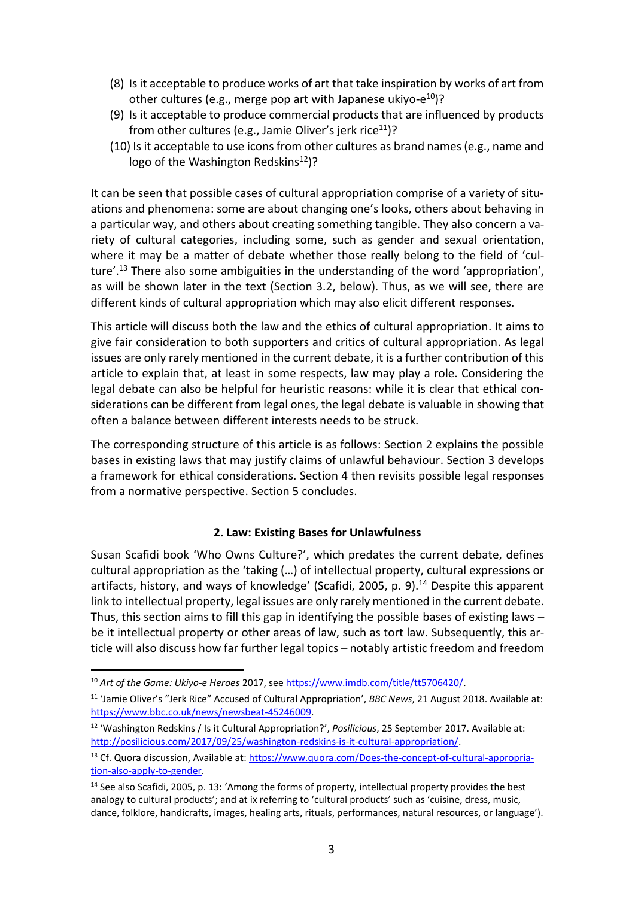- (8) Is it acceptable to produce works of art that take inspiration by works of art from other cultures (e.g., merge pop art with Japanese ukiyo-e<sup>10</sup>)?
- (9) Is it acceptable to produce commercial products that are influenced by products from other cultures (e.g., Jamie Oliver's jerk rice<sup>11</sup>)?
- (10) Is it acceptable to use icons from other cultures as brand names (e.g., name and logo of the Washington Redskins<sup>12</sup>)?

It can be seen that possible cases of cultural appropriation comprise of a variety of situations and phenomena: some are about changing one's looks, others about behaving in a particular way, and others about creating something tangible. They also concern a variety of cultural categories, including some, such as gender and sexual orientation, where it may be a matter of debate whether those really belong to the field of 'culture'.<sup>13</sup> There also some ambiguities in the understanding of the word 'appropriation', as will be shown later in the text (Section 3.2, below). Thus, as we will see, there are different kinds of cultural appropriation which may also elicit different responses.

This article will discuss both the law and the ethics of cultural appropriation. It aims to give fair consideration to both supporters and critics of cultural appropriation. As legal issues are only rarely mentioned in the current debate, it is a further contribution of this article to explain that, at least in some respects, law may play a role. Considering the legal debate can also be helpful for heuristic reasons: while it is clear that ethical considerations can be different from legal ones, the legal debate is valuable in showing that often a balance between different interests needs to be struck.

The corresponding structure of this article is as follows: Section 2 explains the possible bases in existing laws that may justify claims of unlawful behaviour. Section 3 develops a framework for ethical considerations. Section 4 then revisits possible legal responses from a normative perspective. Section 5 concludes.

## **2. Law: Existing Bases for Unlawfulness**

Susan Scafidi book 'Who Owns Culture?', which predates the current debate, defines cultural appropriation as the 'taking (…) of intellectual property, cultural expressions or artifacts, history, and ways of knowledge' (Scafidi, 2005, p. 9).<sup>14</sup> Despite this apparent link to intellectual property, legal issues are only rarely mentioned in the current debate. Thus, this section aims to fill this gap in identifying the possible bases of existing laws – be it intellectual property or other areas of law, such as tort law. Subsequently, this article will also discuss how far further legal topics – notably artistic freedom and freedom

<sup>10</sup> *Art of the Game: Ukiyo-e Heroes* 2017, see [https://www.imdb.com/title/tt5706420/.](https://www.imdb.com/title/tt5706420/)

<sup>11</sup> 'Jamie Oliver's "Jerk Rice" Accused of Cultural Appropriation', *BBC News*, 21 August 2018. Available at: [https://www.bbc.co.uk/news/newsbeat-45246009.](https://www.bbc.co.uk/news/newsbeat-45246009)

<sup>12</sup> 'Washington Redskins / Is it Cultural Appropriation?', *Posilicious*, 25 September 2017. Available at: [http://posilicious.com/2017/09/25/washington-redskins-is-it-cultural-appropriation/.](http://posilicious.com/2017/09/25/washington-redskins-is-it-cultural-appropriation/)

<sup>&</sup>lt;sup>13</sup> Cf. Quora discussion, Available at: [https://www.quora.com/Does-the-concept-of-cultural-appropria](https://www.quora.com/Does-the-concept-of-cultural-appropriation-also-apply-to-gender)[tion-also-apply-to-gender.](https://www.quora.com/Does-the-concept-of-cultural-appropriation-also-apply-to-gender)

<sup>&</sup>lt;sup>14</sup> See also Scafidi, 2005, p. 13: 'Among the forms of property, intellectual property provides the best analogy to cultural products'; and at ix referring to 'cultural products' such as 'cuisine, dress, music, dance, folklore, handicrafts, images, healing arts, rituals, performances, natural resources, or language').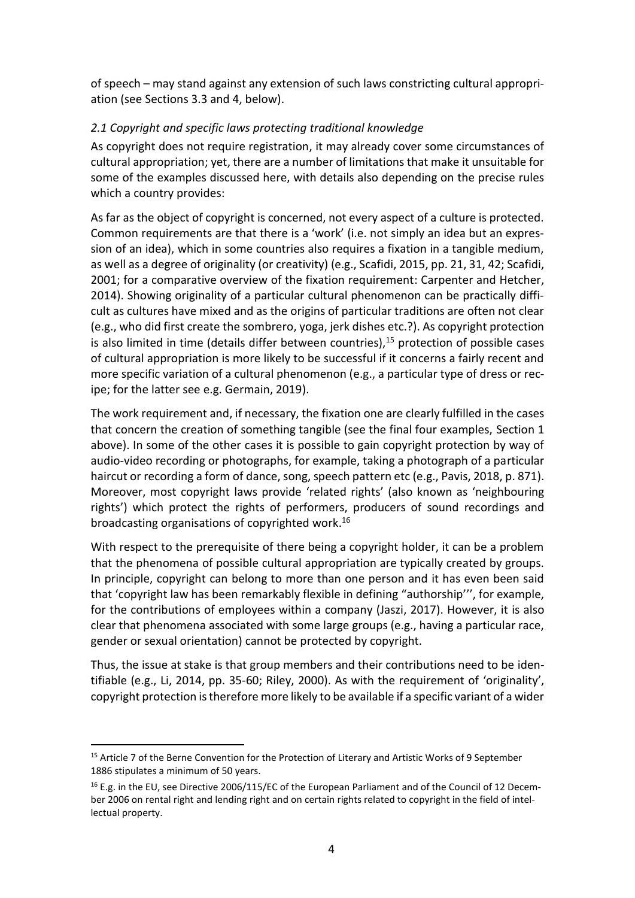of speech – may stand against any extension of such laws constricting cultural appropriation (see Sections 3.3 and 4, below).

## *2.1 Copyright and specific laws protecting traditional knowledge*

As copyright does not require registration, it may already cover some circumstances of cultural appropriation; yet, there are a number of limitations that make it unsuitable for some of the examples discussed here, with details also depending on the precise rules which a country provides:

As far as the object of copyright is concerned, not every aspect of a culture is protected. Common requirements are that there is a 'work' (i.e. not simply an idea but an expression of an idea), which in some countries also requires a fixation in a tangible medium, as well as a degree of originality (or creativity) (e.g., Scafidi, 2015, pp. 21, 31, 42; Scafidi, 2001; for a comparative overview of the fixation requirement: Carpenter and Hetcher, 2014). Showing originality of a particular cultural phenomenon can be practically difficult as cultures have mixed and as the origins of particular traditions are often not clear (e.g., who did first create the sombrero, yoga, jerk dishes etc.?). As copyright protection is also limited in time (details differ between countries), $15$  protection of possible cases of cultural appropriation is more likely to be successful if it concerns a fairly recent and more specific variation of a cultural phenomenon (e.g., a particular type of dress or recipe; for the latter see e.g. Germain, 2019).

The work requirement and, if necessary, the fixation one are clearly fulfilled in the cases that concern the creation of something tangible (see the final four examples, Section 1 above). In some of the other cases it is possible to gain copyright protection by way of audio-video recording or photographs, for example, taking a photograph of a particular haircut or recording a form of dance, song, speech pattern etc (e.g., Pavis, 2018, p. 871). Moreover, most copyright laws provide 'related rights' (also known as 'neighbouring rights') which protect the rights of performers, producers of sound recordings and broadcasting organisations of copyrighted work. 16

With respect to the prerequisite of there being a copyright holder, it can be a problem that the phenomena of possible cultural appropriation are typically created by groups. In principle, copyright can belong to more than one person and it has even been said that 'copyright law has been remarkably flexible in defining "authorship''', for example, for the contributions of employees within a company (Jaszi, 2017). However, it is also clear that phenomena associated with some large groups (e.g., having a particular race, gender or sexual orientation) cannot be protected by copyright.

Thus, the issue at stake is that group members and their contributions need to be identifiable (e.g., Li, 2014, pp. 35-60; Riley, 2000). As with the requirement of 'originality', copyright protection is therefore more likely to be available if a specific variant of a wider

<sup>&</sup>lt;sup>15</sup> Article 7 of the Berne Convention for the Protection of Literary and Artistic Works of 9 September 1886 stipulates a minimum of 50 years.

<sup>&</sup>lt;sup>16</sup> E.g. in the EU, see Directive 2006/115/EC of the European Parliament and of the Council of 12 December 2006 on rental right and lending right and on certain rights related to copyright in the field of intellectual property.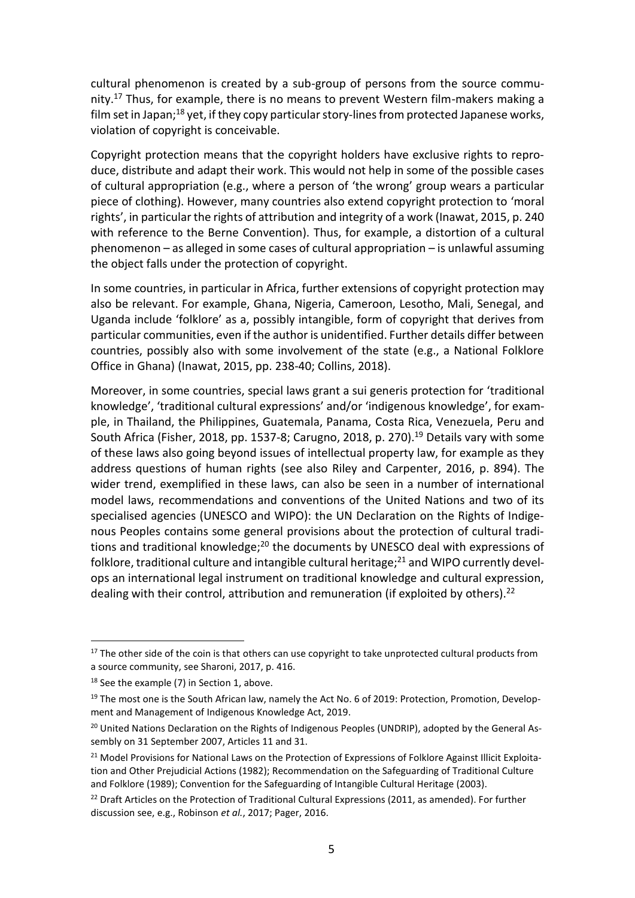cultural phenomenon is created by a sub-group of persons from the source community.<sup>17</sup> Thus, for example, there is no means to prevent Western film-makers making a film set in Japan; $^{18}$  yet, if they copy particular story-lines from protected Japanese works, violation of copyright is conceivable.

Copyright protection means that the copyright holders have exclusive rights to reproduce, distribute and adapt their work. This would not help in some of the possible cases of cultural appropriation (e.g., where a person of 'the wrong' group wears a particular piece of clothing). However, many countries also extend copyright protection to 'moral rights', in particular the rights of attribution and integrity of a work (Inawat, 2015, p. 240 with reference to the Berne Convention). Thus, for example, a distortion of a cultural phenomenon – as alleged in some cases of cultural appropriation – is unlawful assuming the object falls under the protection of copyright.

In some countries, in particular in Africa, further extensions of copyright protection may also be relevant. For example, Ghana, Nigeria, Cameroon, Lesotho, Mali, Senegal, and Uganda include 'folklore' as a, possibly intangible, form of copyright that derives from particular communities, even if the author is unidentified. Further details differ between countries, possibly also with some involvement of the state (e.g., a National Folklore Office in Ghana) (Inawat, 2015, pp. 238-40; Collins, 2018).

Moreover, in some countries, special laws grant a sui generis protection for 'traditional knowledge', 'traditional cultural expressions' and/or 'indigenous knowledge', for example, in Thailand, the Philippines, Guatemala, Panama, Costa Rica, Venezuela, Peru and South Africa (Fisher, 2018, pp. 1537-8; Carugno, 2018, p. 270).<sup>19</sup> Details vary with some of these laws also going beyond issues of intellectual property law, for example as they address questions of human rights (see also Riley and Carpenter, 2016, p. 894). The wider trend, exemplified in these laws, can also be seen in a number of international model laws, recommendations and conventions of the United Nations and two of its specialised agencies (UNESCO and WIPO): the UN Declaration on the Rights of Indigenous Peoples contains some general provisions about the protection of cultural traditions and traditional knowledge;<sup>20</sup> the documents by UNESCO deal with expressions of folklore, traditional culture and intangible cultural heritage; $^{21}$  and WIPO currently develops an international legal instrument on traditional knowledge and cultural expression, dealing with their control, attribution and remuneration (if exploited by others).<sup>22</sup>

<sup>&</sup>lt;sup>17</sup> The other side of the coin is that others can use copyright to take unprotected cultural products from a source community, see Sharoni, 2017, p. 416.

 $18$  See the example (7) in Section 1, above.

<sup>&</sup>lt;sup>19</sup> The most one is the South African law, namely the Act No. 6 of 2019: Protection, Promotion, Development and Management of Indigenous Knowledge Act, 2019.

<sup>&</sup>lt;sup>20</sup> United Nations Declaration on the Rights of Indigenous Peoples (UNDRIP), adopted by the General Assembly on 31 September 2007, Articles 11 and 31.

<sup>&</sup>lt;sup>21</sup> Model Provisions for National Laws on the Protection of Expressions of Folklore Against Illicit Exploitation and Other Prejudicial Actions (1982); Recommendation on the Safeguarding of Traditional Culture and Folklore (1989); Convention for the Safeguarding of Intangible Cultural Heritage (2003).

 $22$  Draft Articles on the Protection of Traditional Cultural Expressions (2011, as amended). For further discussion see, e.g., Robinson *et al.*, 2017; Pager, 2016.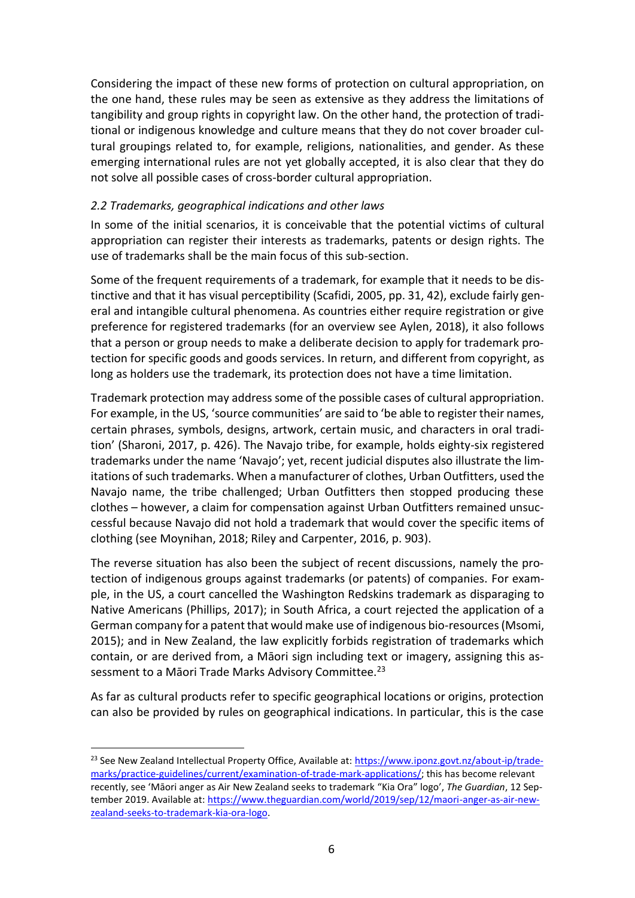Considering the impact of these new forms of protection on cultural appropriation, on the one hand, these rules may be seen as extensive as they address the limitations of tangibility and group rights in copyright law. On the other hand, the protection of traditional or indigenous knowledge and culture means that they do not cover broader cultural groupings related to, for example, religions, nationalities, and gender. As these emerging international rules are not yet globally accepted, it is also clear that they do not solve all possible cases of cross-border cultural appropriation.

## *2.2 Trademarks, geographical indications and other laws*

In some of the initial scenarios, it is conceivable that the potential victims of cultural appropriation can register their interests as trademarks, patents or design rights. The use of trademarks shall be the main focus of this sub-section.

Some of the frequent requirements of a trademark, for example that it needs to be distinctive and that it has visual perceptibility (Scafidi, 2005, pp. 31, 42), exclude fairly general and intangible cultural phenomena. As countries either require registration or give preference for registered trademarks (for an overview see Aylen, 2018), it also follows that a person or group needs to make a deliberate decision to apply for trademark protection for specific goods and goods services. In return, and different from copyright, as long as holders use the trademark, its protection does not have a time limitation.

Trademark protection may address some of the possible cases of cultural appropriation. For example, in the US, 'source communities' are said to 'be able to register their names, certain phrases, symbols, designs, artwork, certain music, and characters in oral tradition' (Sharoni, 2017, p. 426). The Navajo tribe, for example, holds eighty-six registered trademarks under the name 'Navajo'; yet, recent judicial disputes also illustrate the limitations of such trademarks. When a manufacturer of clothes, Urban Outfitters, used the Navajo name, the tribe challenged; Urban Outfitters then stopped producing these clothes – however, a claim for compensation against Urban Outfitters remained unsuccessful because Navajo did not hold a trademark that would cover the specific items of clothing (see Moynihan, 2018; Riley and Carpenter, 2016, p. 903).

The reverse situation has also been the subject of recent discussions, namely the protection of indigenous groups against trademarks (or patents) of companies. For example, in the US, a court cancelled the Washington Redskins trademark as disparaging to Native Americans (Phillips, 2017); in South Africa, a court rejected the application of a German company for a patent that would make use of indigenous bio-resources(Msomi, 2015); and in New Zealand, the law explicitly forbids registration of trademarks which contain, or are derived from, a Māori sign including text or imagery, assigning this assessment to a Māori Trade Marks Advisory Committee.<sup>23</sup>

As far as cultural products refer to specific geographical locations or origins, protection can also be provided by rules on geographical indications. In particular, this is the case

<sup>&</sup>lt;sup>23</sup> See New Zealand Intellectual Property Office, Available at: [https://www.iponz.govt.nz/about-ip/trade](https://www.iponz.govt.nz/about-ip/trade-marks/practice-guidelines/current/examination-of-trade-mark-applications/)[marks/practice-guidelines/current/examination-of-trade-mark-applications/;](https://www.iponz.govt.nz/about-ip/trade-marks/practice-guidelines/current/examination-of-trade-mark-applications/) this has become relevant recently, see 'Māori anger as Air New Zealand seeks to trademark "Kia Ora" logo', *The Guardian*, 12 September 2019. Available at: [https://www.theguardian.com/world/2019/sep/12/maori-anger-as-air-new](https://www.theguardian.com/world/2019/sep/12/maori-anger-as-air-new-zealand-seeks-to-trademark-kia-ora-logo)[zealand-seeks-to-trademark-kia-ora-logo.](https://www.theguardian.com/world/2019/sep/12/maori-anger-as-air-new-zealand-seeks-to-trademark-kia-ora-logo)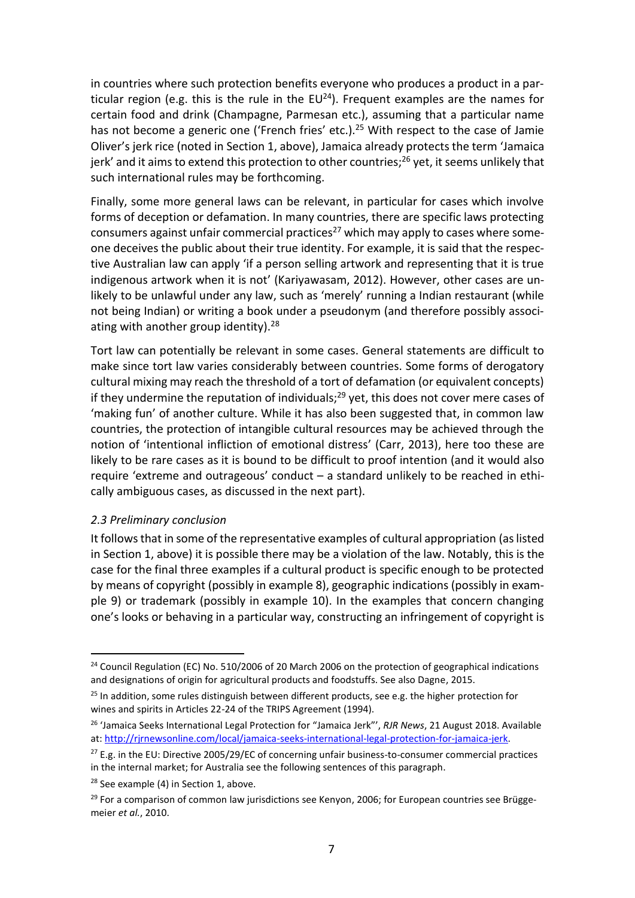in countries where such protection benefits everyone who produces a product in a particular region (e.g. this is the rule in the  $EU^{24}$ ). Frequent examples are the names for certain food and drink (Champagne, Parmesan etc.), assuming that a particular name has not become a generic one ('French fries' etc.).<sup>25</sup> With respect to the case of Jamie Oliver's jerk rice (noted in Section 1, above), Jamaica already protects the term 'Jamaica jerk' and it aims to extend this protection to other countries;<sup>26</sup> yet, it seems unlikely that such international rules may be forthcoming.

Finally, some more general laws can be relevant, in particular for cases which involve forms of deception or defamation. In many countries, there are specific laws protecting consumers against unfair commercial practices<sup>27</sup> which may apply to cases where someone deceives the public about their true identity. For example, it is said that the respective Australian law can apply 'if a person selling artwork and representing that it is true indigenous artwork when it is not' (Kariyawasam, 2012). However, other cases are unlikely to be unlawful under any law, such as 'merely' running a Indian restaurant (while not being Indian) or writing a book under a pseudonym (and therefore possibly associating with another group identity). $28$ 

Tort law can potentially be relevant in some cases. General statements are difficult to make since tort law varies considerably between countries. Some forms of derogatory cultural mixing may reach the threshold of a tort of defamation (or equivalent concepts) if they undermine the reputation of individuals; $^{29}$  yet, this does not cover mere cases of 'making fun' of another culture. While it has also been suggested that, in common law countries, the protection of intangible cultural resources may be achieved through the notion of 'intentional infliction of emotional distress' (Carr, 2013), here too these are likely to be rare cases as it is bound to be difficult to proof intention (and it would also require 'extreme and outrageous' conduct – a standard unlikely to be reached in ethically ambiguous cases, as discussed in the next part).

### *2.3 Preliminary conclusion*

**.** 

It follows that in some of the representative examples of cultural appropriation (as listed in Section 1, above) it is possible there may be a violation of the law. Notably, this is the case for the final three examples if a cultural product is specific enough to be protected by means of copyright (possibly in example 8), geographic indications (possibly in example 9) or trademark (possibly in example 10). In the examples that concern changing one's looks or behaving in a particular way, constructing an infringement of copyright is

<sup>&</sup>lt;sup>24</sup> Council Regulation (EC) No. 510/2006 of 20 March 2006 on the protection of geographical indications and designations of origin for agricultural products and foodstuffs. See also Dagne, 2015.

<sup>&</sup>lt;sup>25</sup> In addition, some rules distinguish between different products, see e.g. the higher protection for wines and spirits in Articles 22-24 of the TRIPS Agreement (1994).

<sup>26</sup> 'Jamaica Seeks International Legal Protection for "Jamaica Jerk"', *RJR News*, 21 August 2018. Available at: [http://rjrnewsonline.com/local/jamaica-seeks-international-legal-protection-for-jamaica-jerk.](http://rjrnewsonline.com/local/jamaica-seeks-international-legal-protection-for-jamaica-jerk) 

 $^{27}$  E.g. in the EU: Directive 2005/29/EC of concerning unfair business-to-consumer commercial practices in the internal market; for Australia see the following sentences of this paragraph.

 $28$  See example (4) in Section 1, above.

<sup>&</sup>lt;sup>29</sup> For a comparison of common law jurisdictions see Kenyon, 2006; for European countries see Brüggemeier *et al.*, 2010.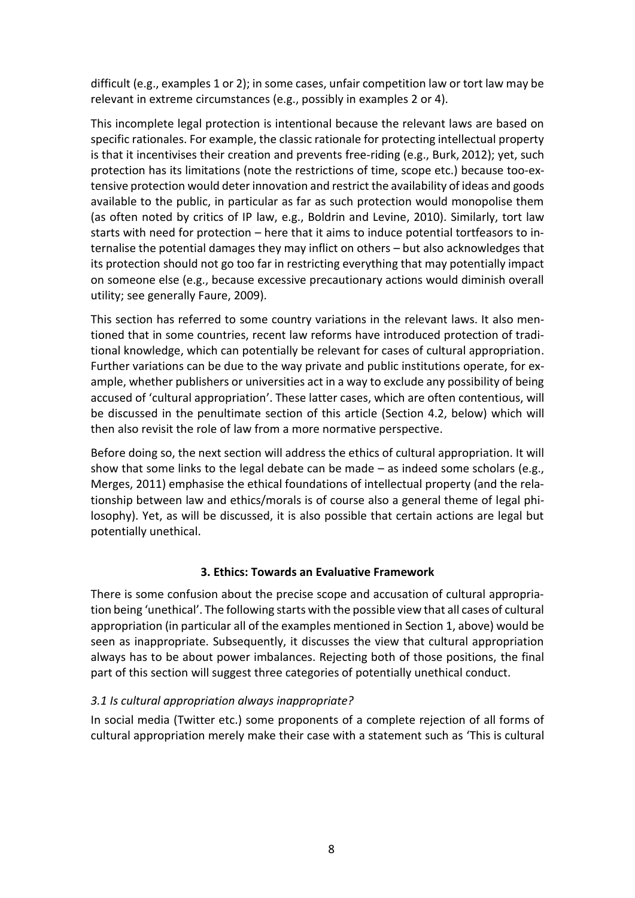difficult (e.g., examples 1 or 2); in some cases, unfair competition law or tort law may be relevant in extreme circumstances (e.g., possibly in examples 2 or 4).

This incomplete legal protection is intentional because the relevant laws are based on specific rationales. For example, the classic rationale for protecting intellectual property is that it incentivises their creation and prevents free-riding (e.g., Burk, 2012); yet, such protection has its limitations (note the restrictions of time, scope etc.) because too-extensive protection would deter innovation and restrict the availability of ideas and goods available to the public, in particular as far as such protection would monopolise them (as often noted by critics of IP law, e.g., Boldrin and Levine, 2010). Similarly, tort law starts with need for protection – here that it aims to induce potential tortfeasors to internalise the potential damages they may inflict on others – but also acknowledges that its protection should not go too far in restricting everything that may potentially impact on someone else (e.g., because excessive precautionary actions would diminish overall utility; see generally Faure, 2009).

This section has referred to some country variations in the relevant laws. It also mentioned that in some countries, recent law reforms have introduced protection of traditional knowledge, which can potentially be relevant for cases of cultural appropriation. Further variations can be due to the way private and public institutions operate, for example, whether publishers or universities act in a way to exclude any possibility of being accused of 'cultural appropriation'. These latter cases, which are often contentious, will be discussed in the penultimate section of this article (Section 4.2, below) which will then also revisit the role of law from a more normative perspective.

Before doing so, the next section will address the ethics of cultural appropriation. It will show that some links to the legal debate can be made – as indeed some scholars (e.g., Merges, 2011) emphasise the ethical foundations of intellectual property (and the relationship between law and ethics/morals is of course also a general theme of legal philosophy). Yet, as will be discussed, it is also possible that certain actions are legal but potentially unethical.

## **3. Ethics: Towards an Evaluative Framework**

There is some confusion about the precise scope and accusation of cultural appropriation being 'unethical'. The following starts with the possible view that all cases of cultural appropriation (in particular all of the examples mentioned in Section 1, above) would be seen as inappropriate. Subsequently, it discusses the view that cultural appropriation always has to be about power imbalances. Rejecting both of those positions, the final part of this section will suggest three categories of potentially unethical conduct.

## *3.1 Is cultural appropriation always inappropriate?*

In social media (Twitter etc.) some proponents of a complete rejection of all forms of cultural appropriation merely make their case with a statement such as 'This is cultural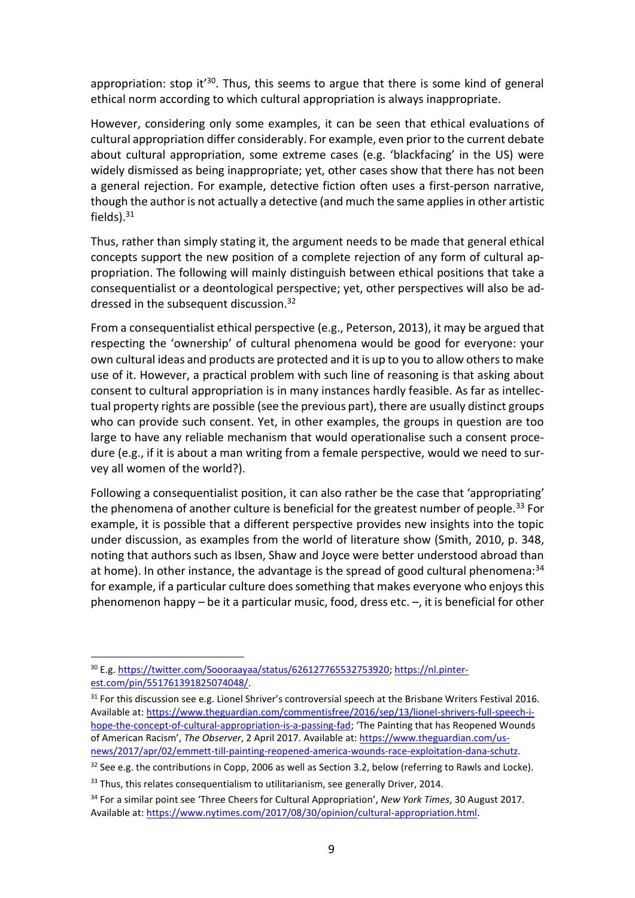appropriation: stop it<sup>'30</sup>. Thus, this seems to argue that there is some kind of general ethical norm according to which cultural appropriation is always inappropriate.

However, considering only some examples, it can be seen that ethical evaluations of cultural appropriation differ considerably. For example, even prior to the current debate about cultural appropriation, some extreme cases (e.g. 'blackfacing' in the US) were widely dismissed as being inappropriate; yet, other cases show that there has not been a general rejection. For example, detective fiction often uses a first-person narrative, though the author is not actually a detective (and much the same applies in other artistic fields) $31$ 

Thus, rather than simply stating it, the argument needs to be made that general ethical concepts support the new position of a complete rejection of any form of cultural appropriation. The following will mainly distinguish between ethical positions that take a consequentialist or a deontological perspective; yet, other perspectives will also be addressed in the subsequent discussion. 32

From a consequentialist ethical perspective (e.g., Peterson, 2013), it may be argued that respecting the 'ownership' of cultural phenomena would be good for everyone: your own cultural ideas and products are protected and it is up to you to allow others to make use of it. However, a practical problem with such line of reasoning is that asking about consent to cultural appropriation is in many instances hardly feasible. As far as intellectual property rights are possible (see the previous part), there are usually distinct groups who can provide such consent. Yet, in other examples, the groups in question are too large to have any reliable mechanism that would operationalise such a consent procedure (e.g., if it is about a man writing from a female perspective, would we need to survey all women of the world?).

Following a consequentialist position, it can also rather be the case that 'appropriating' the phenomena of another culture is beneficial for the greatest number of people.<sup>33</sup> For example, it is possible that a different perspective provides new insights into the topic under discussion, as examples from the world of literature show (Smith, 2010, p. 348, noting that authors such as Ibsen, Shaw and Joyce were better understood abroad than at home). In other instance, the advantage is the spread of good cultural phenomena:<sup>34</sup> for example, if a particular culture does something that makes everyone who enjoys this phenomenon happy – be it a particular music, food, dress etc. –, it is beneficial for other

<sup>30</sup> E.g. [https://twitter.com/Soooraayaa/status/626127765532753920;](https://twitter.com/Soooraayaa/status/626127765532753920) [https://nl.pinter](https://nl.pinterest.com/pin/551761391825074048/)[est.com/pin/551761391825074048/.](https://nl.pinterest.com/pin/551761391825074048/)

<sup>&</sup>lt;sup>31</sup> For this discussion see e.g. Lionel Shriver's controversial speech at the Brisbane Writers Festival 2016. Available at: [https://www.theguardian.com/commentisfree/2016/sep/13/lionel-shrivers-full-speech-i](https://www.theguardian.com/commentisfree/2016/sep/13/lionel-shrivers-full-speech-i-hope-the-concept-of-cultural-appropriation-is-a-passing-fad)[hope-the-concept-of-cultural-appropriation-is-a-passing-fad](https://www.theguardian.com/commentisfree/2016/sep/13/lionel-shrivers-full-speech-i-hope-the-concept-of-cultural-appropriation-is-a-passing-fad); 'The Painting that has Reopened Wounds of American Racism', *The Observer*, 2 April 2017. Available at: [https://www.theguardian.com/us](https://www.theguardian.com/us-news/2017/apr/02/emmett-till-painting-reopened-america-wounds-race-exploitation-dana-schutz)[news/2017/apr/02/emmett-till-painting-reopened-america-wounds-race-exploitation-dana-schutz.](https://www.theguardian.com/us-news/2017/apr/02/emmett-till-painting-reopened-america-wounds-race-exploitation-dana-schutz)

<sup>&</sup>lt;sup>32</sup> See e.g. the contributions in Copp, 2006 as well as Section 3.2, below (referring to Rawls and Locke).

<sup>&</sup>lt;sup>33</sup> Thus, this relates consequentialism to utilitarianism, see generally Driver, 2014.

<sup>34</sup> For a similar point see 'Three Cheers for Cultural Appropriation', *New York Times*, 30 August 2017. Available at: [https://www.nytimes.com/2017/08/30/opinion/cultural-appropriation.html.](https://www.nytimes.com/2017/08/30/opinion/cultural-appropriation.html)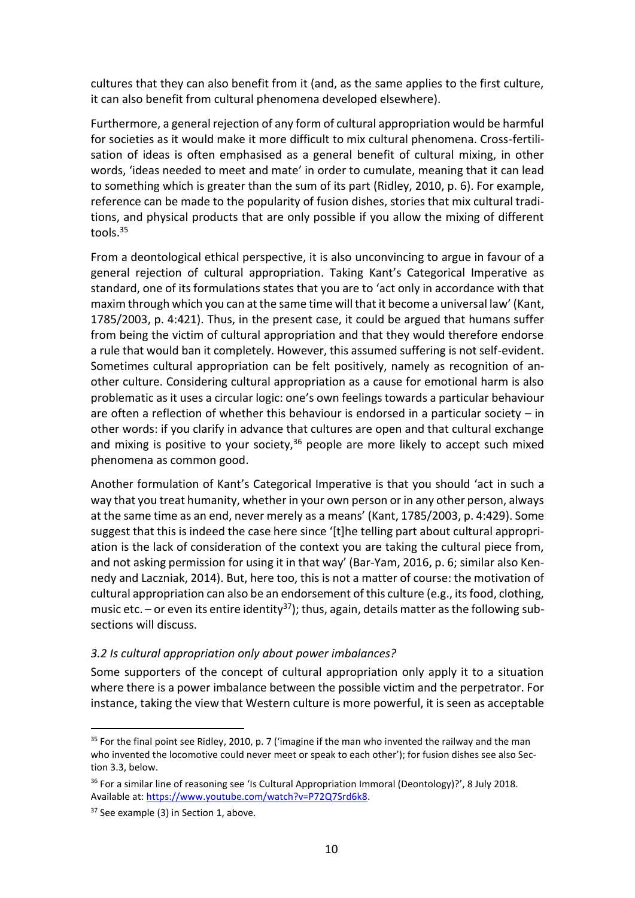cultures that they can also benefit from it (and, as the same applies to the first culture, it can also benefit from cultural phenomena developed elsewhere).

Furthermore, a general rejection of any form of cultural appropriation would be harmful for societies as it would make it more difficult to mix cultural phenomena. Cross-fertilisation of ideas is often emphasised as a general benefit of cultural mixing, in other words, 'ideas needed to meet and mate' in order to cumulate, meaning that it can lead to something which is greater than the sum of its part (Ridley, 2010, p. 6). For example, reference can be made to the popularity of fusion dishes, stories that mix cultural traditions, and physical products that are only possible if you allow the mixing of different tools.<sup>35</sup>

From a deontological ethical perspective, it is also unconvincing to argue in favour of a general rejection of cultural appropriation. Taking Kant's Categorical Imperative as standard, one of its formulations states that you are to 'act only in accordance with that maxim through which you can at the same time will that it become a universal law' (Kant, 1785/2003, p. 4:421). Thus, in the present case, it could be argued that humans suffer from being the victim of cultural appropriation and that they would therefore endorse a rule that would ban it completely. However, this assumed suffering is not self-evident. Sometimes cultural appropriation can be felt positively, namely as recognition of another culture. Considering cultural appropriation as a cause for emotional harm is also problematic as it uses a circular logic: one's own feelings towards a particular behaviour are often a reflection of whether this behaviour is endorsed in a particular society – in other words: if you clarify in advance that cultures are open and that cultural exchange and mixing is positive to your society,  $36$  people are more likely to accept such mixed phenomena as common good.

Another formulation of Kant's Categorical Imperative is that you should 'act in such a way that you treat humanity, whether in your own person or in any other person, always at the same time as an end, never merely as a means' (Kant, 1785/2003, p. 4:429). Some suggest that this is indeed the case here since '[t]he telling part about cultural appropriation is the lack of consideration of the context you are taking the cultural piece from, and not asking permission for using it in that way' (Bar-Yam, 2016, p. 6; similar also Kennedy and Laczniak, 2014). But, here too, this is not a matter of course: the motivation of cultural appropriation can also be an endorsement of this culture (e.g., its food, clothing, music etc. – or even its entire identity<sup>37</sup>); thus, again, details matter as the following subsections will discuss.

### *3.2 Is cultural appropriation only about power imbalances?*

Some supporters of the concept of cultural appropriation only apply it to a situation where there is a power imbalance between the possible victim and the perpetrator. For instance, taking the view that Western culture is more powerful, it is seen as acceptable

<sup>&</sup>lt;sup>35</sup> For the final point see Ridley, 2010, p. 7 ('imagine if the man who invented the railway and the man who invented the locomotive could never meet or speak to each other'); for fusion dishes see also Section 3.3, below.

<sup>&</sup>lt;sup>36</sup> For a similar line of reasoning see 'Is Cultural Appropriation Immoral (Deontology)?', 8 July 2018. Available at: [https://www.youtube.com/watch?v=P72Q7Srd6k8.](https://www.youtube.com/watch?v=P72Q7Srd6k8)

<sup>&</sup>lt;sup>37</sup> See example (3) in Section 1, above.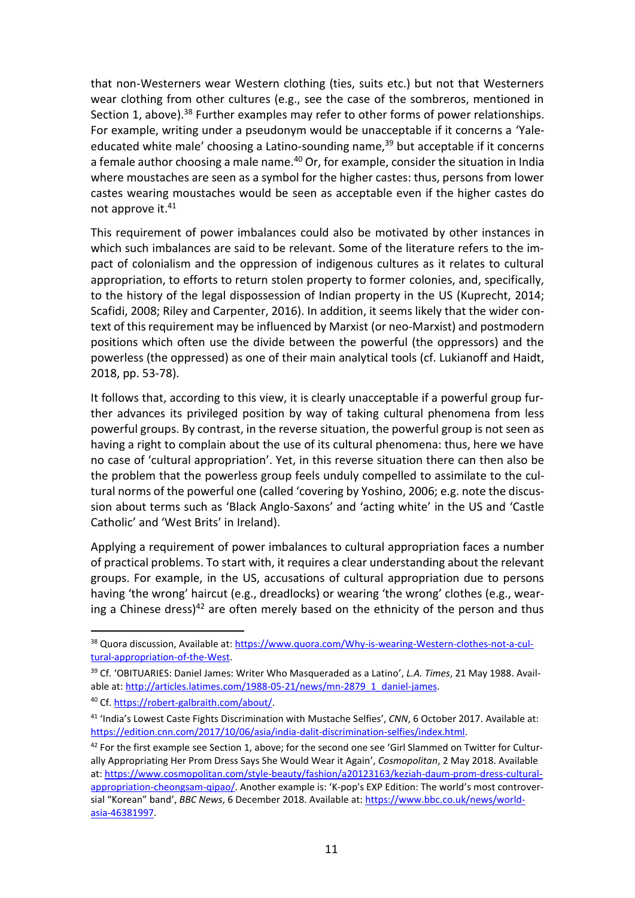that non-Westerners wear Western clothing (ties, suits etc.) but not that Westerners wear clothing from other cultures (e.g., see the case of the sombreros, mentioned in Section 1, above).<sup>38</sup> Further examples may refer to other forms of power relationships. For example, writing under a pseudonym would be unacceptable if it concerns a 'Yaleeducated white male' choosing a Latino-sounding name, $39$  but acceptable if it concerns a female author choosing a male name.<sup>40</sup> Or, for example, consider the situation in India where moustaches are seen as a symbol for the higher castes: thus, persons from lower castes wearing moustaches would be seen as acceptable even if the higher castes do not approve it.<sup>41</sup>

This requirement of power imbalances could also be motivated by other instances in which such imbalances are said to be relevant. Some of the literature refers to the impact of colonialism and the oppression of indigenous cultures as it relates to cultural appropriation, to efforts to return stolen property to former colonies, and, specifically, to the history of the legal dispossession of Indian property in the US (Kuprecht, 2014; Scafidi, 2008; Riley and Carpenter, 2016). In addition, it seems likely that the wider context of this requirement may be influenced by Marxist (or neo-Marxist) and postmodern positions which often use the divide between the powerful (the oppressors) and the powerless (the oppressed) as one of their main analytical tools (cf. Lukianoff and Haidt, 2018, pp. 53-78).

It follows that, according to this view, it is clearly unacceptable if a powerful group further advances its privileged position by way of taking cultural phenomena from less powerful groups. By contrast, in the reverse situation, the powerful group is not seen as having a right to complain about the use of its cultural phenomena: thus, here we have no case of 'cultural appropriation'. Yet, in this reverse situation there can then also be the problem that the powerless group feels unduly compelled to assimilate to the cultural norms of the powerful one (called 'covering by Yoshino, 2006; e.g. note the discussion about terms such as 'Black Anglo-Saxons' and 'acting white' in the US and 'Castle Catholic' and 'West Brits' in Ireland).

Applying a requirement of power imbalances to cultural appropriation faces a number of practical problems. To start with, it requires a clear understanding about the relevant groups. For example, in the US, accusations of cultural appropriation due to persons having 'the wrong' haircut (e.g., dreadlocks) or wearing 'the wrong' clothes (e.g., wearing a Chinese dress) $42$  are often merely based on the ethnicity of the person and thus

<sup>&</sup>lt;sup>38</sup> Quora discussion, Available at: [https://www.quora.com/Why-is-wearing-Western-clothes-not-a-cul](https://www.quora.com/Why-is-wearing-Western-clothes-not-a-cultural-appropriation-of-the-West)[tural-appropriation-of-the-West.](https://www.quora.com/Why-is-wearing-Western-clothes-not-a-cultural-appropriation-of-the-West)

<sup>39</sup> Cf. 'OBITUARIES: Daniel James: Writer Who Masqueraded as a Latino', *L.A. Times*, 21 May 1988. Available at: [http://articles.latimes.com/1988-05-21/news/mn-2879\\_1\\_daniel-james.](http://articles.latimes.com/1988-05-21/news/mn-2879_1_daniel-james)

<sup>40</sup> Cf. [https://robert-galbraith.com/about/.](https://robert-galbraith.com/about/)

<sup>41</sup> 'India's Lowest Caste Fights Discrimination with Mustache Selfies', *CNN*, 6 October 2017. Available at: [https://edition.cnn.com/2017/10/06/asia/india-dalit-discrimination-selfies/index.html.](https://edition.cnn.com/2017/10/06/asia/india-dalit-discrimination-selfies/index.html)

 $42$  For the first example see Section 1, above; for the second one see 'Girl Slammed on Twitter for Culturally Appropriating Her Prom Dress Says She Would Wear it Again', *Cosmopolitan*, 2 May 2018. Available at: [https://www.cosmopolitan.com/style-beauty/fashion/a20123163/keziah-daum-prom-dress-cultural](https://www.cosmopolitan.com/style-beauty/fashion/a20123163/keziah-daum-prom-dress-cultural-appropriation-cheongsam-qipao/)[appropriation-cheongsam-qipao/](https://www.cosmopolitan.com/style-beauty/fashion/a20123163/keziah-daum-prom-dress-cultural-appropriation-cheongsam-qipao/). Another example is: 'K-pop's EXP Edition: The world's most controversial "Korean" band', *BBC News*, 6 December 2018. Available at: [https://www.bbc.co.uk/news/world](https://www.bbc.co.uk/news/world-asia-46381997)[asia-46381997.](https://www.bbc.co.uk/news/world-asia-46381997)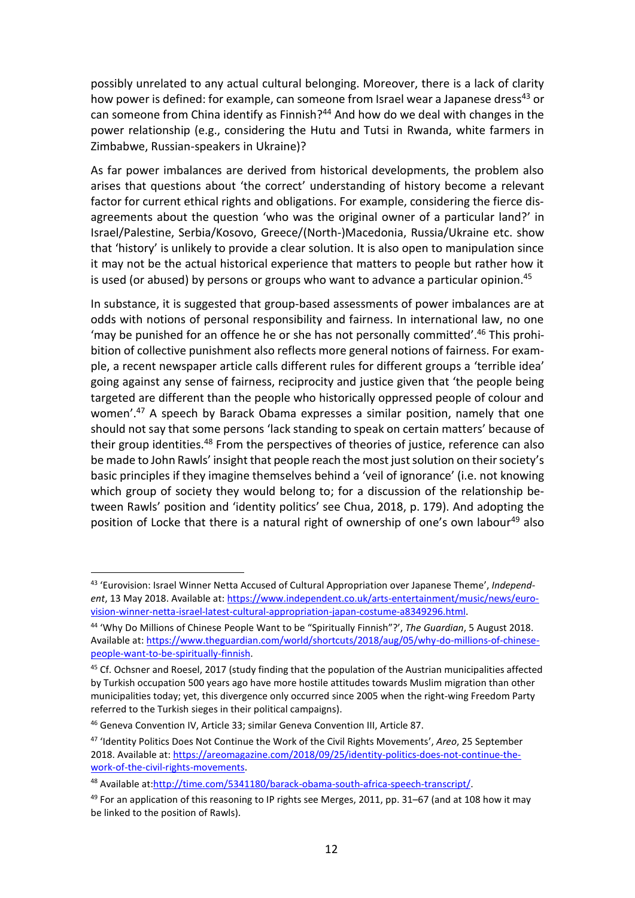possibly unrelated to any actual cultural belonging. Moreover, there is a lack of clarity how power is defined: for example, can someone from Israel wear a Japanese dress<sup>43</sup> or can someone from China identify as Finnish?<sup>44</sup> And how do we deal with changes in the power relationship (e.g., considering the Hutu and Tutsi in Rwanda, white farmers in Zimbabwe, Russian-speakers in Ukraine)?

As far power imbalances are derived from historical developments, the problem also arises that questions about 'the correct' understanding of history become a relevant factor for current ethical rights and obligations. For example, considering the fierce disagreements about the question 'who was the original owner of a particular land?' in Israel/Palestine, Serbia/Kosovo, Greece/(North-)Macedonia, Russia/Ukraine etc. show that 'history' is unlikely to provide a clear solution. It is also open to manipulation since it may not be the actual historical experience that matters to people but rather how it is used (or abused) by persons or groups who want to advance a particular opinion. 45

In substance, it is suggested that group-based assessments of power imbalances are at odds with notions of personal responsibility and fairness. In international law, no one 'may be punished for an offence he or she has not personally committed'.<sup>46</sup> This prohibition of collective punishment also reflects more general notions of fairness. For example, a recent newspaper article calls different rules for different groups a 'terrible idea' going against any sense of fairness, reciprocity and justice given that 'the people being targeted are different than the people who historically oppressed people of colour and women'. <sup>47</sup> A speech by Barack Obama expresses a similar position, namely that one should not say that some persons 'lack standing to speak on certain matters' because of their group identities.<sup>48</sup> From the perspectives of theories of justice, reference can also be made to John Rawls' insight that people reach the most just solution on their society's basic principles if they imagine themselves behind a 'veil of ignorance' (i.e. not knowing which group of society they would belong to; for a discussion of the relationship between Rawls' position and 'identity politics' see Chua, 2018, p. 179). And adopting the position of Locke that there is a natural right of ownership of one's own labour<sup>49</sup> also

<sup>43</sup> 'Eurovision: Israel Winner Netta Accused of Cultural Appropriation over Japanese Theme', *Independent*, 13 May 2018. Available at: [https://www.independent.co.uk/arts-entertainment/music/news/euro](https://www.independent.co.uk/arts-entertainment/music/news/eurovision-winner-netta-israel-latest-cultural-appropriation-japan-costume-a8349296.html)[vision-winner-netta-israel-latest-cultural-appropriation-japan-costume-a8349296.html.](https://www.independent.co.uk/arts-entertainment/music/news/eurovision-winner-netta-israel-latest-cultural-appropriation-japan-costume-a8349296.html)

<sup>44</sup> 'Why Do Millions of Chinese People Want to be "Spiritually Finnish"?', *The Guardian*, 5 August 2018. Available at: [https://www.theguardian.com/world/shortcuts/2018/aug/05/why-do-millions-of-chinese](https://www.theguardian.com/world/shortcuts/2018/aug/05/why-do-millions-of-chinese-people-want-to-be-spiritually-finnish)[people-want-to-be-spiritually-finnish.](https://www.theguardian.com/world/shortcuts/2018/aug/05/why-do-millions-of-chinese-people-want-to-be-spiritually-finnish)

<sup>&</sup>lt;sup>45</sup> Cf. Ochsner and Roesel, 2017 (study finding that the population of the Austrian municipalities affected by Turkish occupation 500 years ago have more hostile attitudes towards Muslim migration than other municipalities today; yet, this divergence only occurred since 2005 when the right-wing Freedom Party referred to the Turkish sieges in their political campaigns).

<sup>46</sup> Geneva Convention IV, Article 33; similar Geneva Convention III, Article 87.

<sup>47</sup> 'Identity Politics Does Not Continue the Work of the Civil Rights Movements', *Areo*, 25 September 2018. Available at: [https://areomagazine.com/2018/09/25/identity-politics-does-not-continue-the](https://areomagazine.com/2018/09/25/identity-politics-does-not-continue-the-work-of-the-civil-rights-movements)[work-of-the-civil-rights-movements.](https://areomagazine.com/2018/09/25/identity-politics-does-not-continue-the-work-of-the-civil-rights-movements)

<sup>48</sup> Available at[:http://time.com/5341180/barack-obama-south-africa-speech-transcript/.](http://time.com/5341180/barack-obama-south-africa-speech-transcript/)

 $49$  For an application of this reasoning to IP rights see Merges, 2011, pp. 31–67 (and at 108 how it may be linked to the position of Rawls).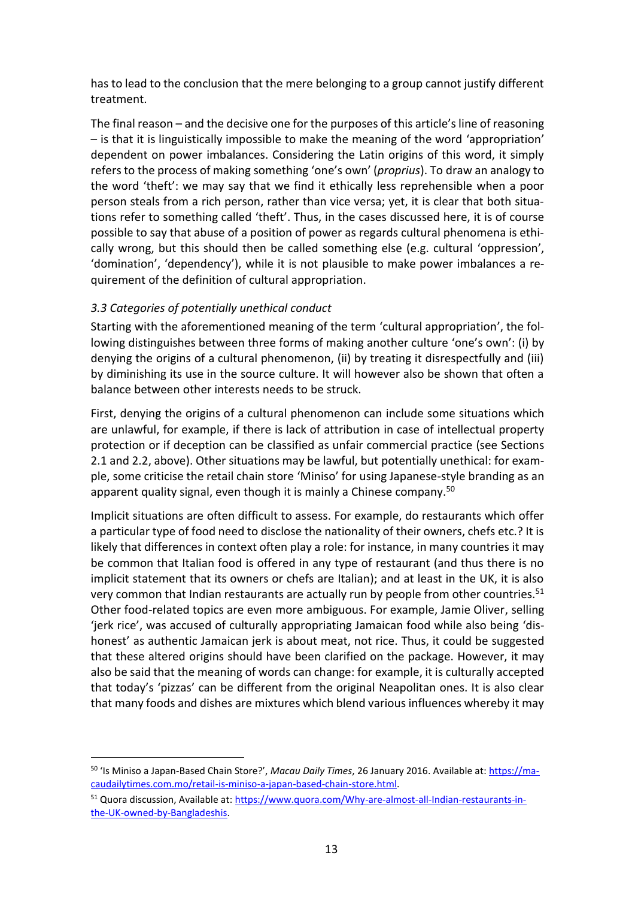has to lead to the conclusion that the mere belonging to a group cannot justify different treatment.

The final reason – and the decisive one for the purposes of this article's line of reasoning – is that it is linguistically impossible to make the meaning of the word 'appropriation' dependent on power imbalances. Considering the Latin origins of this word, it simply refers to the process of making something 'one's own' (*proprius*). To draw an analogy to the word 'theft': we may say that we find it ethically less reprehensible when a poor person steals from a rich person, rather than vice versa; yet, it is clear that both situations refer to something called 'theft'. Thus, in the cases discussed here, it is of course possible to say that abuse of a position of power as regards cultural phenomena is ethically wrong, but this should then be called something else (e.g. cultural 'oppression', 'domination', 'dependency'), while it is not plausible to make power imbalances a requirement of the definition of cultural appropriation.

## *3.3 Categories of potentially unethical conduct*

**.** 

Starting with the aforementioned meaning of the term 'cultural appropriation', the following distinguishes between three forms of making another culture 'one's own': (i) by denying the origins of a cultural phenomenon, (ii) by treating it disrespectfully and (iii) by diminishing its use in the source culture. It will however also be shown that often a balance between other interests needs to be struck.

First, denying the origins of a cultural phenomenon can include some situations which are unlawful, for example, if there is lack of attribution in case of intellectual property protection or if deception can be classified as unfair commercial practice (see Sections 2.1 and 2.2, above). Other situations may be lawful, but potentially unethical: for example, some criticise the retail chain store 'Miniso' for using Japanese-style branding as an apparent quality signal, even though it is mainly a Chinese company.<sup>50</sup>

Implicit situations are often difficult to assess. For example, do restaurants which offer a particular type of food need to disclose the nationality of their owners, chefs etc.? It is likely that differences in context often play a role: for instance, in many countries it may be common that Italian food is offered in any type of restaurant (and thus there is no implicit statement that its owners or chefs are Italian); and at least in the UK, it is also very common that Indian restaurants are actually run by people from other countries.<sup>51</sup> Other food-related topics are even more ambiguous. For example, Jamie Oliver, selling 'jerk rice', was accused of culturally appropriating Jamaican food while also being 'dishonest' as authentic Jamaican jerk is about meat, not rice. Thus, it could be suggested that these altered origins should have been clarified on the package. However, it may also be said that the meaning of words can change: for example, it is culturally accepted that today's 'pizzas' can be different from the original Neapolitan ones. It is also clear that many foods and dishes are mixtures which blend various influences whereby it may

<sup>&</sup>lt;sup>50</sup> 'Is Miniso a Japan-Based Chain Store?', *Macau Daily Times*, 26 January 2016. Available at: *[https://ma](https://macaudailytimes.com.mo/retail-is-miniso-a-japan-based-chain-store.html)*[caudailytimes.com.mo/retail-is-miniso-a-japan-based-chain-store.html.](https://macaudailytimes.com.mo/retail-is-miniso-a-japan-based-chain-store.html)

<sup>51</sup> Quora discussion, Available at: [https://www.quora.com/Why-are-almost-all-Indian-restaurants-in](https://www.quora.com/Why-are-almost-all-Indian-restaurants-in-the-UK-owned-by-Bangladeshis)[the-UK-owned-by-Bangladeshis.](https://www.quora.com/Why-are-almost-all-Indian-restaurants-in-the-UK-owned-by-Bangladeshis)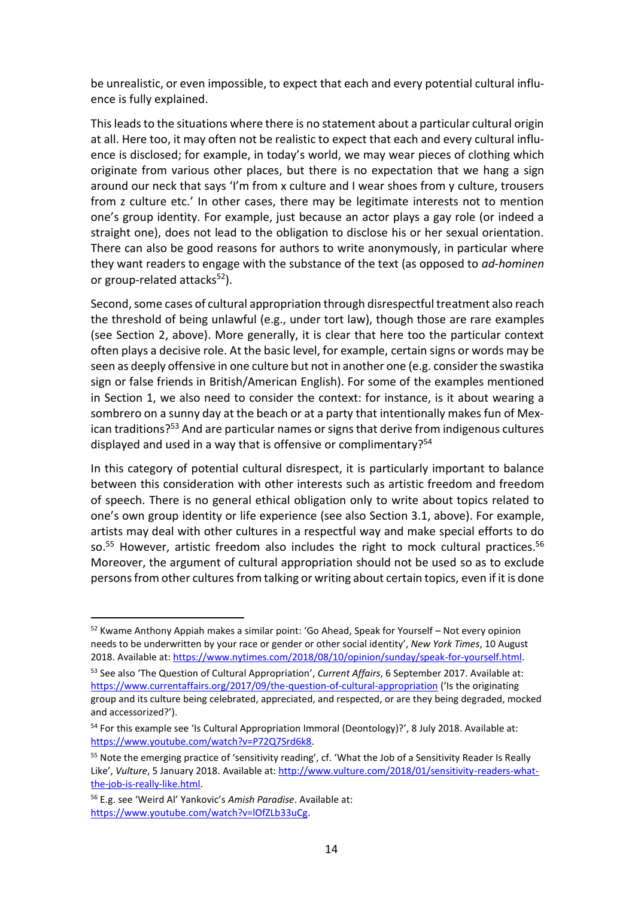be unrealistic, or even impossible, to expect that each and every potential cultural influence is fully explained.

This leads to the situations where there is no statement about a particular cultural origin at all. Here too, it may often not be realistic to expect that each and every cultural influence is disclosed; for example, in today's world, we may wear pieces of clothing which originate from various other places, but there is no expectation that we hang a sign around our neck that says 'I'm from x culture and I wear shoes from y culture, trousers from z culture etc.' In other cases, there may be legitimate interests not to mention one's group identity. For example, just because an actor plays a gay role (or indeed a straight one), does not lead to the obligation to disclose his or her sexual orientation. There can also be good reasons for authors to write anonymously, in particular where they want readers to engage with the substance of the text (as opposed to *ad-hominen* or group-related attacks $52$ ).

Second, some cases of cultural appropriation through disrespectful treatment also reach the threshold of being unlawful (e.g., under tort law), though those are rare examples (see Section 2, above). More generally, it is clear that here too the particular context often plays a decisive role. At the basic level, for example, certain signs or words may be seen as deeply offensive in one culture but not in another one (e.g. consider the swastika sign or false friends in British/American English). For some of the examples mentioned in Section 1, we also need to consider the context: for instance, is it about wearing a sombrero on a sunny day at the beach or at a party that intentionally makes fun of Mexican traditions?<sup>53</sup> And are particular names or signs that derive from indigenous cultures displayed and used in a way that is offensive or complimentary?<sup>54</sup>

In this category of potential cultural disrespect, it is particularly important to balance between this consideration with other interests such as artistic freedom and freedom of speech. There is no general ethical obligation only to write about topics related to one's own group identity or life experience (see also Section 3.1, above). For example, artists may deal with other cultures in a respectful way and make special efforts to do so.<sup>55</sup> However, artistic freedom also includes the right to mock cultural practices.<sup>56</sup> Moreover, the argument of cultural appropriation should not be used so as to exclude persons from other cultures from talking or writing about certain topics, even if it is done

<sup>52</sup> Kwame Anthony Appiah makes a similar point: 'Go Ahead, Speak for Yourself – Not every opinion needs to be underwritten by your race or gender or other social identity', *New York Times*, 10 August 2018. Available at: https://www.nytimes.com/2018/08/10/opinion/sunday/speak-for-yourself.html. <sup>53</sup> See also 'The Question of Cultural Appropriation', *Current Affairs*, 6 September 2017. Available at:

<https://www.currentaffairs.org/2017/09/the-question-of-cultural-appropriation> ('Is the originating group and its culture being celebrated, appreciated, and respected, or are they being degraded, mocked and accessorized?').

<sup>&</sup>lt;sup>54</sup> For this example see 'Is Cultural Appropriation Immoral (Deontology)?', 8 July 2018. Available at: [https://www.youtube.com/watch?v=P72Q7Srd6k8.](https://www.youtube.com/watch?v=P72Q7Srd6k8) 

<sup>&</sup>lt;sup>55</sup> Note the emerging practice of 'sensitivity reading', cf. 'What the Job of a Sensitivity Reader Is Really Like', *Vulture*, 5 January 2018. Available at: [http://www.vulture.com/2018/01/sensitivity-readers-what](http://www.vulture.com/2018/01/sensitivity-readers-what-the-job-is-really-like.html)[the-job-is-really-like.html.](http://www.vulture.com/2018/01/sensitivity-readers-what-the-job-is-really-like.html)

<sup>56</sup> E.g. see 'Weird Al' Yankovic's *Amish Paradise*. Available at: [https://www.youtube.com/watch?v=lOfZLb33uCg.](https://www.youtube.com/watch?v=lOfZLb33uCg)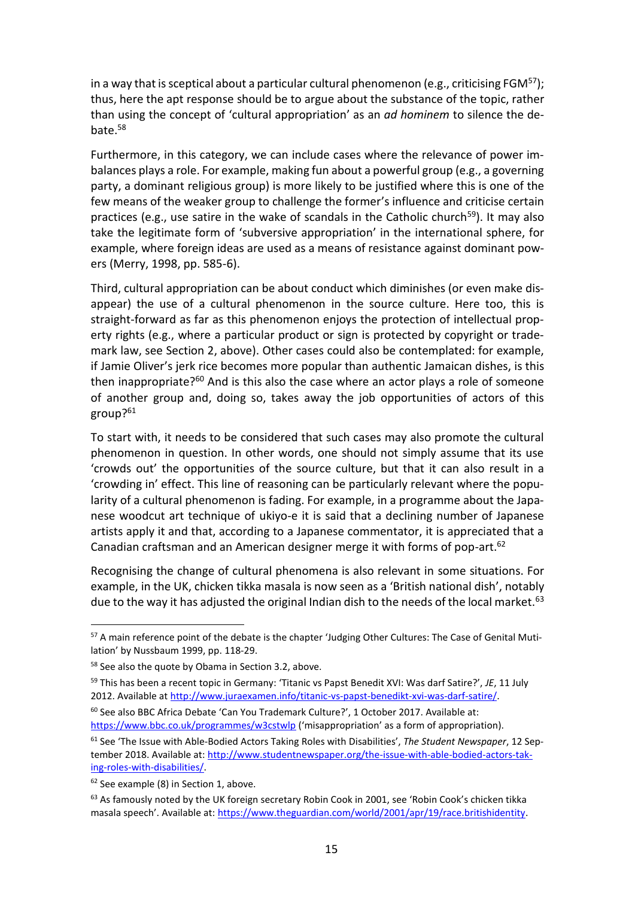in a way that is sceptical about a particular cultural phenomenon (e.g., criticising FGM<sup>57</sup>); thus, here the apt response should be to argue about the substance of the topic, rather than using the concept of 'cultural appropriation' as an *ad hominem* to silence the debate.<sup>58</sup>

Furthermore, in this category, we can include cases where the relevance of power imbalances plays a role. For example, making fun about a powerful group (e.g., a governing party, a dominant religious group) is more likely to be justified where this is one of the few means of the weaker group to challenge the former's influence and criticise certain practices (e.g., use satire in the wake of scandals in the Catholic church<sup>59</sup>). It may also take the legitimate form of 'subversive appropriation' in the international sphere, for example, where foreign ideas are used as a means of resistance against dominant powers (Merry, 1998, pp. 585-6).

Third, cultural appropriation can be about conduct which diminishes (or even make disappear) the use of a cultural phenomenon in the source culture. Here too, this is straight-forward as far as this phenomenon enjoys the protection of intellectual property rights (e.g., where a particular product or sign is protected by copyright or trademark law, see Section 2, above). Other cases could also be contemplated: for example, if Jamie Oliver's jerk rice becomes more popular than authentic Jamaican dishes, is this then inappropriate? $60$  And is this also the case where an actor plays a role of someone of another group and, doing so, takes away the job opportunities of actors of this group?<sup>61</sup>

To start with, it needs to be considered that such cases may also promote the cultural phenomenon in question. In other words, one should not simply assume that its use 'crowds out' the opportunities of the source culture, but that it can also result in a 'crowding in' effect. This line of reasoning can be particularly relevant where the popularity of a cultural phenomenon is fading. For example, in a programme about the Japanese woodcut art technique of ukiyo-e it is said that a declining number of Japanese artists apply it and that, according to a Japanese commentator, it is appreciated that a Canadian craftsman and an American designer merge it with forms of pop-art.<sup>62</sup>

Recognising the change of cultural phenomena is also relevant in some situations. For example, in the UK, chicken tikka masala is now seen as a 'British national dish', notably due to the way it has adjusted the original Indian dish to the needs of the local market.<sup>63</sup>

<sup>57</sup> A main reference point of the debate is the chapter 'Judging Other Cultures: The Case of Genital Mutilation' by Nussbaum 1999, pp. 118-29.

<sup>58</sup> See also the quote by Obama in Section 3.2, above.

<sup>59</sup> This has been a recent topic in Germany: 'Titanic vs Papst Benedit XVI: Was darf Satire?', *JE*, 11 July 2012. Available at [http://www.juraexamen.info/titanic-vs-papst-benedikt-xvi-was-darf-satire/.](http://www.juraexamen.info/titanic-vs-papst-benedikt-xvi-was-darf-satire/)

<sup>60</sup> See also BBC Africa Debate 'Can You Trademark Culture?', 1 October 2017. Available at: <https://www.bbc.co.uk/programmes/w3cstwlp> ('misappropriation' as a form of appropriation).

<sup>61</sup> See 'The Issue with Able-Bodied Actors Taking Roles with Disabilities', *The Student Newspaper*, 12 September 2018. Available at: [http://www.studentnewspaper.org/the-issue-with-able-bodied-actors-tak](http://www.studentnewspaper.org/the-issue-with-able-bodied-actors-taking-roles-with-disabilities/)[ing-roles-with-disabilities/.](http://www.studentnewspaper.org/the-issue-with-able-bodied-actors-taking-roles-with-disabilities/)

<sup>&</sup>lt;sup>62</sup> See example (8) in Section 1, above.

<sup>&</sup>lt;sup>63</sup> As famously noted by the UK foreign secretary Robin Cook in 2001, see 'Robin Cook's chicken tikka masala speech'. Available at: [https://www.theguardian.com/world/2001/apr/19/race.britishidentity.](https://www.theguardian.com/world/2001/apr/19/race.britishidentity)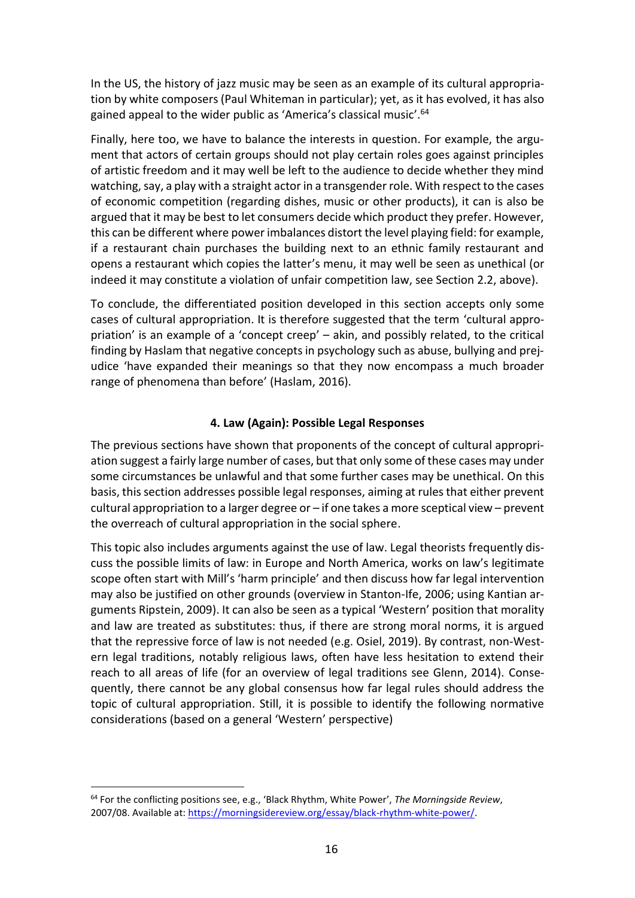In the US, the history of jazz music may be seen as an example of its cultural appropriation by white composers (Paul Whiteman in particular); yet, as it has evolved, it has also gained appeal to the wider public as 'America's classical music'.<sup>64</sup>

Finally, here too, we have to balance the interests in question. For example, the argument that actors of certain groups should not play certain roles goes against principles of artistic freedom and it may well be left to the audience to decide whether they mind watching, say, a play with a straight actor in a transgender role. With respect to the cases of economic competition (regarding dishes, music or other products), it can is also be argued that it may be best to let consumers decide which product they prefer. However, this can be different where power imbalances distort the level playing field: for example, if a restaurant chain purchases the building next to an ethnic family restaurant and opens a restaurant which copies the latter's menu, it may well be seen as unethical (or indeed it may constitute a violation of unfair competition law, see Section 2.2, above).

To conclude, the differentiated position developed in this section accepts only some cases of cultural appropriation. It is therefore suggested that the term 'cultural appropriation' is an example of a 'concept creep' – akin, and possibly related, to the critical finding by Haslam that negative concepts in psychology such as abuse, bullying and prejudice 'have expanded their meanings so that they now encompass a much broader range of phenomena than before' (Haslam, 2016).

## **4. Law (Again): Possible Legal Responses**

The previous sections have shown that proponents of the concept of cultural appropriation suggest a fairly large number of cases, but that only some of these cases may under some circumstances be unlawful and that some further cases may be unethical. On this basis, this section addresses possible legal responses, aiming at rules that either prevent cultural appropriation to a larger degree or – if one takes a more sceptical view – prevent the overreach of cultural appropriation in the social sphere.

This topic also includes arguments against the use of law. Legal theorists frequently discuss the possible limits of law: in Europe and North America, works on law's legitimate scope often start with Mill's 'harm principle' and then discuss how far legal intervention may also be justified on other grounds (overview in Stanton-Ife, 2006; using Kantian arguments Ripstein, 2009). It can also be seen as a typical 'Western' position that morality and law are treated as substitutes: thus, if there are strong moral norms, it is argued that the repressive force of law is not needed (e.g. Osiel, 2019). By contrast, non-Western legal traditions, notably religious laws, often have less hesitation to extend their reach to all areas of life (for an overview of legal traditions see Glenn, 2014). Consequently, there cannot be any global consensus how far legal rules should address the topic of cultural appropriation. Still, it is possible to identify the following normative considerations (based on a general 'Western' perspective)

<sup>64</sup> For the conflicting positions see, e.g., 'Black Rhythm, White Power', *The Morningside Review*, 2007/08. Available at: [https://morningsidereview.org/essay/black-rhythm-white-power/.](https://morningsidereview.org/essay/black-rhythm-white-power/)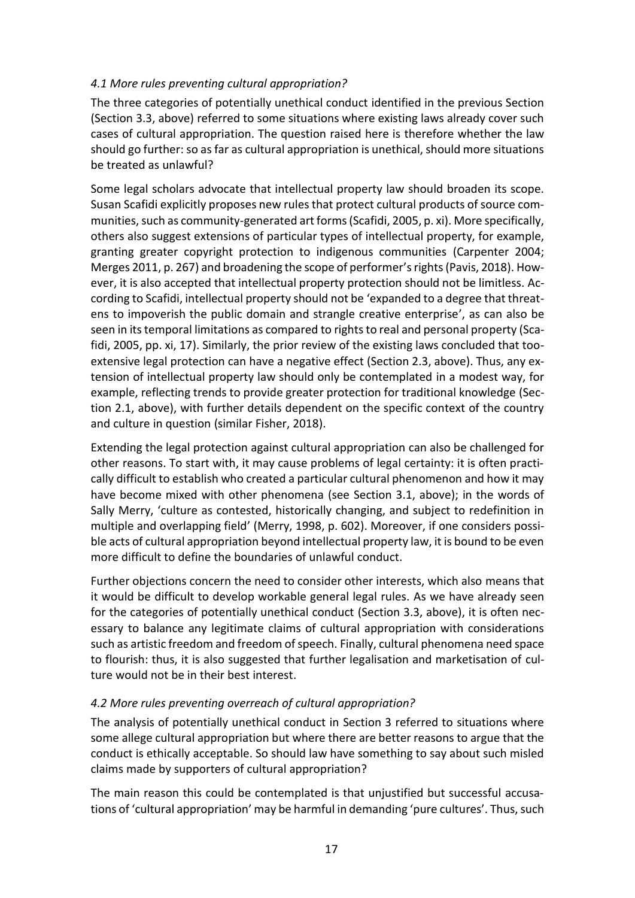## *4.1 More rules preventing cultural appropriation?*

The three categories of potentially unethical conduct identified in the previous Section (Section 3.3, above) referred to some situations where existing laws already cover such cases of cultural appropriation. The question raised here is therefore whether the law should go further: so as far as cultural appropriation is unethical, should more situations be treated as unlawful?

Some legal scholars advocate that intellectual property law should broaden its scope. Susan Scafidi explicitly proposes new rules that protect cultural products of source communities, such as community-generated art forms(Scafidi, 2005, p. xi). More specifically, others also suggest extensions of particular types of intellectual property, for example, granting greater copyright protection to indigenous communities (Carpenter 2004; Merges 2011, p. 267) and broadening the scope of performer's rights(Pavis, 2018). However, it is also accepted that intellectual property protection should not be limitless. According to Scafidi, intellectual property should not be 'expanded to a degree that threatens to impoverish the public domain and strangle creative enterprise', as can also be seen in its temporal limitations as compared to rights to real and personal property (Scafidi, 2005, pp. xi, 17). Similarly, the prior review of the existing laws concluded that tooextensive legal protection can have a negative effect (Section 2.3, above). Thus, any extension of intellectual property law should only be contemplated in a modest way, for example, reflecting trends to provide greater protection for traditional knowledge (Section 2.1, above), with further details dependent on the specific context of the country and culture in question (similar Fisher, 2018).

Extending the legal protection against cultural appropriation can also be challenged for other reasons. To start with, it may cause problems of legal certainty: it is often practically difficult to establish who created a particular cultural phenomenon and how it may have become mixed with other phenomena (see Section 3.1, above); in the words of Sally Merry, 'culture as contested, historically changing, and subject to redefinition in multiple and overlapping field' (Merry, 1998, p. 602). Moreover, if one considers possible acts of cultural appropriation beyond intellectual property law, it is bound to be even more difficult to define the boundaries of unlawful conduct.

Further objections concern the need to consider other interests, which also means that it would be difficult to develop workable general legal rules. As we have already seen for the categories of potentially unethical conduct (Section 3.3, above), it is often necessary to balance any legitimate claims of cultural appropriation with considerations such as artistic freedom and freedom of speech. Finally, cultural phenomena need space to flourish: thus, it is also suggested that further legalisation and marketisation of culture would not be in their best interest.

## *4.2 More rules preventing overreach of cultural appropriation?*

The analysis of potentially unethical conduct in Section 3 referred to situations where some allege cultural appropriation but where there are better reasons to argue that the conduct is ethically acceptable. So should law have something to say about such misled claims made by supporters of cultural appropriation?

The main reason this could be contemplated is that unjustified but successful accusations of 'cultural appropriation' may be harmful in demanding 'pure cultures'. Thus, such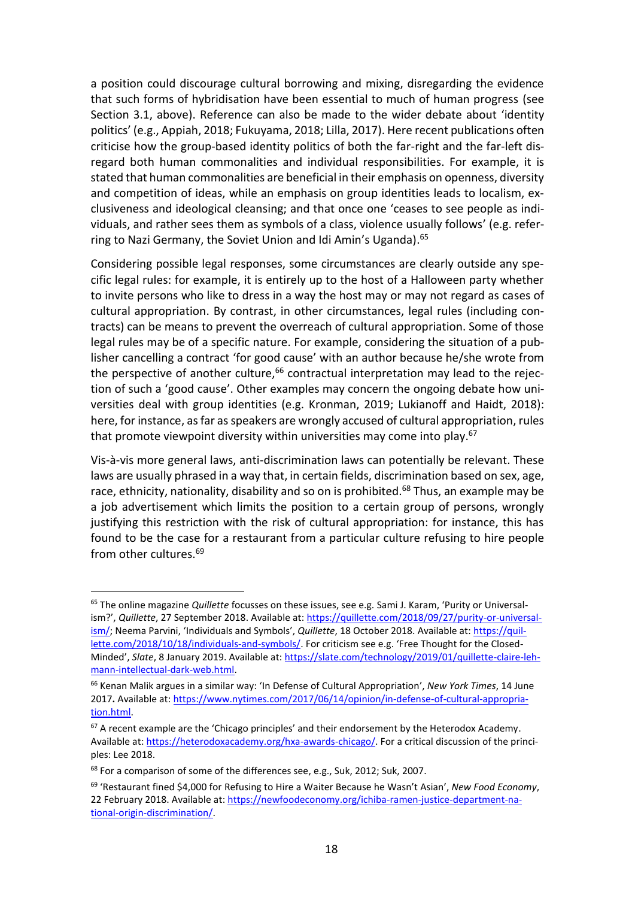a position could discourage cultural borrowing and mixing, disregarding the evidence that such forms of hybridisation have been essential to much of human progress (see Section 3.1, above). Reference can also be made to the wider debate about 'identity politics' (e.g., Appiah, 2018; Fukuyama, 2018; Lilla, 2017). Here recent publications often criticise how the group-based identity politics of both the far-right and the far-left disregard both human commonalities and individual responsibilities. For example, it is stated that human commonalities are beneficial in their emphasis on openness, diversity and competition of ideas, while an emphasis on group identities leads to localism, exclusiveness and ideological cleansing; and that once one 'ceases to see people as individuals, and rather sees them as symbols of a class, violence usually follows' (e.g. referring to Nazi Germany, the Soviet Union and Idi Amin's Uganda).<sup>65</sup>

Considering possible legal responses, some circumstances are clearly outside any specific legal rules: for example, it is entirely up to the host of a Halloween party whether to invite persons who like to dress in a way the host may or may not regard as cases of cultural appropriation. By contrast, in other circumstances, legal rules (including contracts) can be means to prevent the overreach of cultural appropriation. Some of those legal rules may be of a specific nature. For example, considering the situation of a publisher cancelling a contract 'for good cause' with an author because he/she wrote from the perspective of another culture, $66$  contractual interpretation may lead to the rejection of such a 'good cause'. Other examples may concern the ongoing debate how universities deal with group identities (e.g. Kronman, 2019; Lukianoff and Haidt, 2018): here, for instance, as far as speakers are wrongly accused of cultural appropriation, rules that promote viewpoint diversity within universities may come into play.<sup>67</sup>

Vis-à-vis more general laws, anti-discrimination laws can potentially be relevant. These laws are usually phrased in a way that, in certain fields, discrimination based on sex, age, race, ethnicity, nationality, disability and so on is prohibited.<sup>68</sup> Thus, an example may be a job advertisement which limits the position to a certain group of persons, wrongly justifying this restriction with the risk of cultural appropriation: for instance, this has found to be the case for a restaurant from a particular culture refusing to hire people from other cultures.<sup>69</sup>

<sup>65</sup> The online magazine *Quillette* focusses on these issues, see e.g. Sami J. Karam, 'Purity or Universalism?', *Quillette*, 27 September 2018. Available at: [https://quillette.com/2018/09/27/purity-or-universal](https://quillette.com/2018/09/27/purity-or-universalism/)[ism/;](https://quillette.com/2018/09/27/purity-or-universalism/) Neema Parvini, 'Individuals and Symbols', *Quillette*, 18 October 2018. Available at: [https://quil](https://quillette.com/2018/10/18/individuals-and-symbols/)[lette.com/2018/10/18/individuals-and-symbols/.](https://quillette.com/2018/10/18/individuals-and-symbols/) For criticism see e.g. 'Free Thought for the Closed-Minded', *Slate*, 8 January 2019. Available at: [https://slate.com/technology/2019/01/quillette-claire-leh](https://slate.com/technology/2019/01/quillette-claire-lehmann-intellectual-dark-web.html)[mann-intellectual-dark-web.html.](https://slate.com/technology/2019/01/quillette-claire-lehmann-intellectual-dark-web.html)

<sup>66</sup> Kenan Malik argues in a similar way: 'In Defense of Cultural Appropriation', *New York Times*, 14 June 2017**.** Available at: [https://www.nytimes.com/2017/06/14/opinion/in-defense-of-cultural-appropria](https://www.nytimes.com/2017/06/14/opinion/in-defense-of-cultural-appropriation.html)[tion.html.](https://www.nytimes.com/2017/06/14/opinion/in-defense-of-cultural-appropriation.html)

 $67$  A recent example are the 'Chicago principles' and their endorsement by the Heterodox Academy. Available at: [https://heterodoxacademy.org/hxa-awards-chicago/.](https://heterodoxacademy.org/hxa-awards-chicago/) For a critical discussion of the principles: Lee 2018.

<sup>&</sup>lt;sup>68</sup> For a comparison of some of the differences see, e.g., Suk, 2012; Suk, 2007.

<sup>69</sup> 'Restaurant fined \$4,000 for Refusing to Hire a Waiter Because he Wasn't Asian', *New Food Economy*, 22 February 2018. Available at: [https://newfoodeconomy.org/ichiba-ramen-justice-department-na](https://newfoodeconomy.org/ichiba-ramen-justice-department-national-origin-discrimination/)[tional-origin-discrimination/.](https://newfoodeconomy.org/ichiba-ramen-justice-department-national-origin-discrimination/)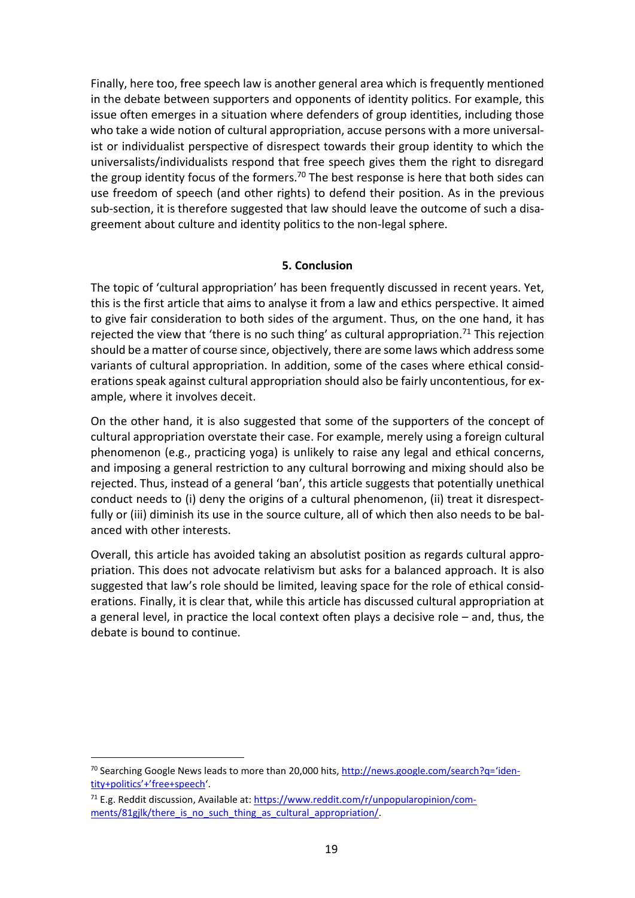Finally, here too, free speech law is another general area which is frequently mentioned in the debate between supporters and opponents of identity politics. For example, this issue often emerges in a situation where defenders of group identities, including those who take a wide notion of cultural appropriation, accuse persons with a more universalist or individualist perspective of disrespect towards their group identity to which the universalists/individualists respond that free speech gives them the right to disregard the group identity focus of the formers.<sup>70</sup> The best response is here that both sides can use freedom of speech (and other rights) to defend their position. As in the previous sub-section, it is therefore suggested that law should leave the outcome of such a disagreement about culture and identity politics to the non-legal sphere.

### **5. Conclusion**

The topic of 'cultural appropriation' has been frequently discussed in recent years. Yet, this is the first article that aims to analyse it from a law and ethics perspective. It aimed to give fair consideration to both sides of the argument. Thus, on the one hand, it has rejected the view that 'there is no such thing' as cultural appropriation.<sup>71</sup> This rejection should be a matter of course since, objectively, there are some laws which address some variants of cultural appropriation. In addition, some of the cases where ethical considerations speak against cultural appropriation should also be fairly uncontentious, for example, where it involves deceit.

On the other hand, it is also suggested that some of the supporters of the concept of cultural appropriation overstate their case. For example, merely using a foreign cultural phenomenon (e.g., practicing yoga) is unlikely to raise any legal and ethical concerns, and imposing a general restriction to any cultural borrowing and mixing should also be rejected. Thus, instead of a general 'ban', this article suggests that potentially unethical conduct needs to (i) deny the origins of a cultural phenomenon, (ii) treat it disrespectfully or (iii) diminish its use in the source culture, all of which then also needs to be balanced with other interests.

Overall, this article has avoided taking an absolutist position as regards cultural appropriation. This does not advocate relativism but asks for a balanced approach. It is also suggested that law's role should be limited, leaving space for the role of ethical considerations. Finally, it is clear that, while this article has discussed cultural appropriation at a general level, in practice the local context often plays a decisive role – and, thus, the debate is bound to continue.

 $70$  Searching Google News leads to more than 20,000 hits[, http://news.google.com/search?q=](http://news.google.com/search?q=%22identity+politics%22+%22free+speech)'identity+politics'+'[free+speech](http://news.google.com/search?q=%22identity+politics%22+%22free+speech)'.

 $71$  E.g. Reddit discussion, Available at: [https://www.reddit.com/r/unpopularopinion/com](https://www.reddit.com/r/unpopularopinion/comments/81gjlk/there_is_no_such_thing_as_cultural_appropriation/)ments/81gjlk/there is no such thing as cultural appropriation/.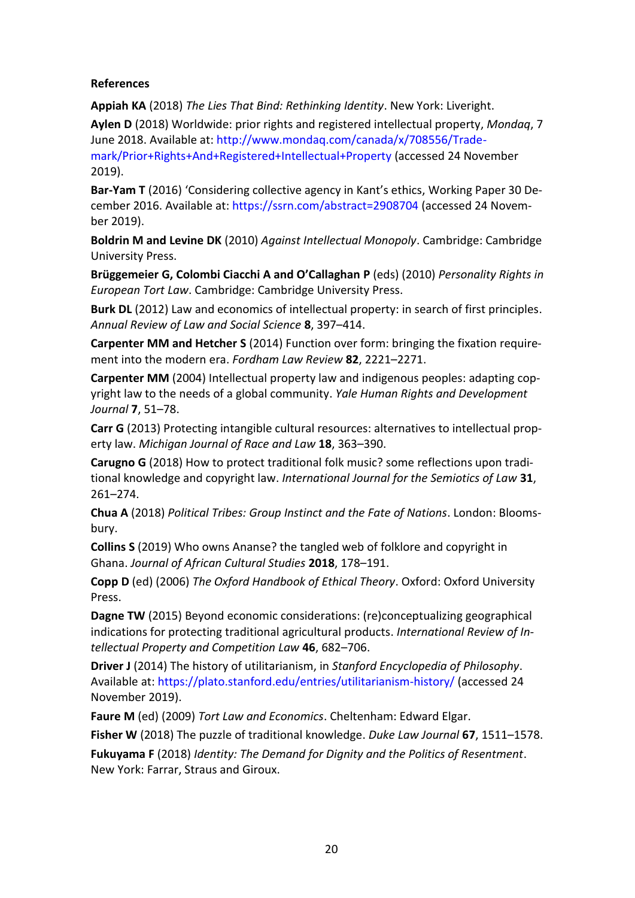## **References**

**Appiah KA** (2018) *The Lies That Bind: Rethinking Identity*. New York: Liveright.

**Aylen D** (2018) Worldwide: prior rights and registered intellectual property, *Mondaq*, 7 June 2018. Available at: http://www.mondaq.com/canada/x/708556/Trade-

mark/Prior+Rights+And+Registered+Intellectual+Property (accessed 24 November 2019).

**Bar-Yam T** (2016) 'Considering collective agency in Kant's ethics, Working Paper 30 December 2016. Available at: https://ssrn.com/abstract=2908704 (accessed 24 November 2019).

**Boldrin M and Levine DK** (2010) *Against Intellectual Monopoly*. Cambridge: Cambridge University Press.

**Brüggemeier G, Colombi Ciacchi A and O'Callaghan P** (eds) (2010) *Personality Rights in European Tort Law*. Cambridge: Cambridge University Press.

**Burk DL** (2012) Law and economics of intellectual property: in search of first principles. *Annual Review of Law and Social Science* **8**, 397–414.

**Carpenter MM and Hetcher S** (2014) Function over form: bringing the fixation requirement into the modern era. *Fordham Law Review* **82**, 2221–2271.

**Carpenter MM** (2004) Intellectual property law and indigenous peoples: adapting copyright law to the needs of a global community. *Yale Human Rights and Development Journal* **7**, 51–78.

**Carr G** (2013) Protecting intangible cultural resources: alternatives to intellectual property law. *Michigan Journal of Race and Law* **18**, 363–390.

**Carugno G** (2018) How to protect traditional folk music? some reflections upon traditional knowledge and copyright law. *International Journal for the Semiotics of Law* **31**, 261–274.

**Chua A** (2018) *Political Tribes: Group Instinct and the Fate of Nations*. London: Bloomsbury.

**Collins S** (2019) Who owns Ananse? the tangled web of folklore and copyright in Ghana. *Journal of African Cultural Studies* **2018**, 178–191.

**Copp D** (ed) (2006) *The Oxford Handbook of Ethical Theory*. Oxford: Oxford University Press.

**Dagne TW** (2015) Beyond economic considerations: (re)conceptualizing geographical indications for protecting traditional agricultural products. *International Review of Intellectual Property and Competition Law* **46**, 682–706.

**Driver J** (2014) The history of utilitarianism, in *Stanford Encyclopedia of Philosophy*. Available at: https://plato.stanford.edu/entries/utilitarianism-history/ (accessed 24 November 2019).

**Faure M** (ed) (2009) *Tort Law and Economics*. Cheltenham: Edward Elgar.

**Fisher W** (2018) The puzzle of traditional knowledge. *Duke Law Journal* **67**, 1511–1578.

**Fukuyama F** (2018) *Identity: The Demand for Dignity and the Politics of Resentment*. New York: Farrar, Straus and Giroux.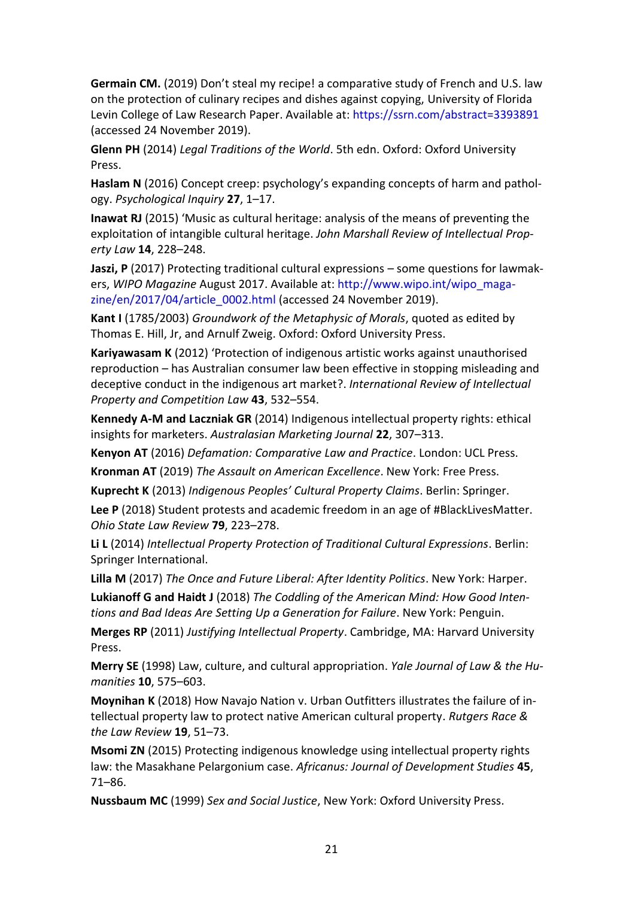**Germain CM.** (2019) Don't steal my recipe! a comparative study of French and U.S. law on the protection of culinary recipes and dishes against copying, University of Florida Levin College of Law Research Paper. Available at[: https://ssrn.com/abstract=3393891](https://ssrn.com/abstract=3393891) (accessed 24 November 2019).

**Glenn PH** (2014) *Legal Traditions of the World*. 5th edn. Oxford: Oxford University Press.

**Haslam N** (2016) Concept creep: psychology's expanding concepts of harm and pathology. *Psychological Inquiry* **27**, 1–17.

**Inawat RJ** (2015) 'Music as cultural heritage: analysis of the means of preventing the exploitation of intangible cultural heritage. *John Marshall Review of Intellectual Property Law* **14**, 228–248.

**Jaszi, P** (2017) Protecting traditional cultural expressions – some questions for lawmakers, *WIPO Magazine* August 2017. Available at: http://www.wipo.int/wipo\_magazine/en/2017/04/article\_0002.html (accessed 24 November 2019).

**Kant I** (1785/2003) *Groundwork of the Metaphysic of Morals*, quoted as edited by Thomas E. Hill, Jr, and Arnulf Zweig. Oxford: Oxford University Press.

**Kariyawasam K** (2012) 'Protection of indigenous artistic works against unauthorised reproduction – has Australian consumer law been effective in stopping misleading and deceptive conduct in the indigenous art market?. *International Review of Intellectual Property and Competition Law* **43**, 532–554.

**Kennedy A-M and Laczniak GR** (2014) Indigenous intellectual property rights: ethical insights for marketers. *Australasian Marketing Journal* **22**, 307–313.

**Kenyon AT** (2016) *Defamation: Comparative Law and Practice*. London: UCL Press.

**Kronman AT** (2019) *The Assault on American Excellence*. New York: Free Press.

**Kuprecht K** (2013) *Indigenous Peoples' Cultural Property Claims*. Berlin: Springer.

**Lee P** (2018) Student protests and academic freedom in an age of #BlackLivesMatter. *Ohio State Law Review* **79**, 223–278.

**Li L** (2014) *Intellectual Property Protection of Traditional Cultural Expressions*. Berlin: Springer International.

**Lilla M** (2017) *The Once and Future Liberal: After Identity Politics*. New York: Harper. **Lukianoff G and Haidt J** (2018) *The Coddling of the American Mind: How Good Intentions and Bad Ideas Are Setting Up a Generation for Failure*. New York: Penguin.

**Merges RP** (2011) *Justifying Intellectual Property*. Cambridge, MA: Harvard University Press.

**Merry SE** (1998) Law, culture, and cultural appropriation. *Yale Journal of Law & the Humanities* **10**, 575–603.

**Moynihan K** (2018) How Navajo Nation v. Urban Outfitters illustrates the failure of intellectual property law to protect native American cultural property. *Rutgers Race & the Law Review* **19**, 51–73.

**Msomi ZN** (2015) Protecting indigenous knowledge using intellectual property rights law: the Masakhane Pelargonium case. *Africanus: Journal of Development Studies* **45**, 71–86.

**Nussbaum MC** (1999) *Sex and Social Justice*, New York: Oxford University Press.